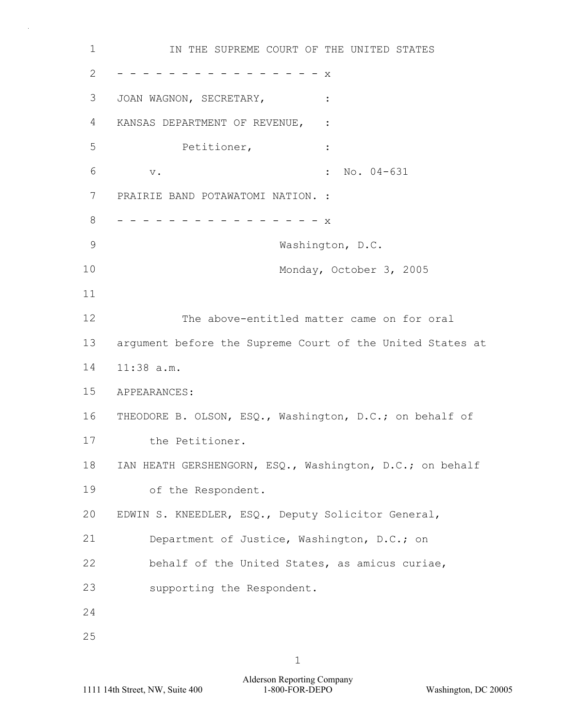1  $\mathcal{P}$ 3 4 5 6 7 8 9 10 11 12 13 14 15 16 17 18 19 20 21 22 23 24 25 IN THE SUPREME COURT OF THE UNITED STATES - - - - - - - - - - - - - - - - x JOAN WAGNON, SECRETARY,  $:$ KANSAS DEPARTMENT OF REVENUE, : Petitioner, : v.  $\qquad \qquad$  : No. 04-631 PRAIRIE BAND POTAWATOMI NATION. : - - - - - - - - - - - - - - - - x Washington, D.C. Monday, October 3, 2005 The above-entitled matter came on for oral argument before the Supreme Court of the United States at 11:38 a.m. APPEARANCES: THEODORE B. OLSON, ESQ., Washington, D.C.; on behalf of the Petitioner. IAN HEATH GERSHENGORN, ESQ., Washington, D.C.; on behalf of the Respondent. EDWIN S. KNEEDLER, ESQ., Deputy Solicitor General, Department of Justice, Washington, D.C.; on behalf of the United States, as amicus curiae, supporting the Respondent.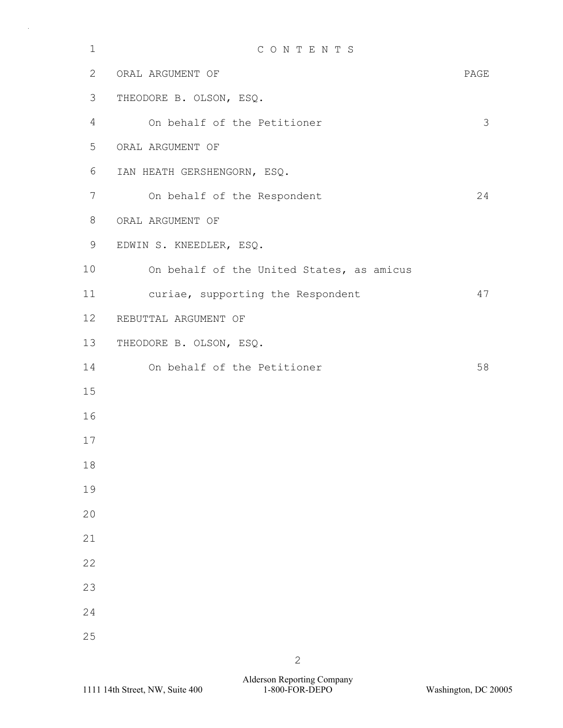| $\mathbf 1$ | CONTENTS                                  |      |
|-------------|-------------------------------------------|------|
| 2           | ORAL ARGUMENT OF                          | PAGE |
| 3           | THEODORE B. OLSON, ESQ.                   |      |
| 4           | On behalf of the Petitioner               | 3    |
| 5           | ORAL ARGUMENT OF                          |      |
| 6           | IAN HEATH GERSHENGORN, ESQ.               |      |
| 7           | On behalf of the Respondent               | 24   |
| 8           | ORAL ARGUMENT OF                          |      |
| 9           | EDWIN S. KNEEDLER, ESQ.                   |      |
| 10          | On behalf of the United States, as amicus |      |
| 11          | curiae, supporting the Respondent         | 47   |
| 12          | REBUTTAL ARGUMENT OF                      |      |
| 13          | THEODORE B. OLSON, ESQ.                   |      |
| 14          | On behalf of the Petitioner               | 58   |
| 15          |                                           |      |
| 16          |                                           |      |
| 17          |                                           |      |
| 18          |                                           |      |
| 19          |                                           |      |
| 20          |                                           |      |
| 21          |                                           |      |
| 22          |                                           |      |
| 23          |                                           |      |
| 24          |                                           |      |
| 25          |                                           |      |
|             | $\overline{2}$                            |      |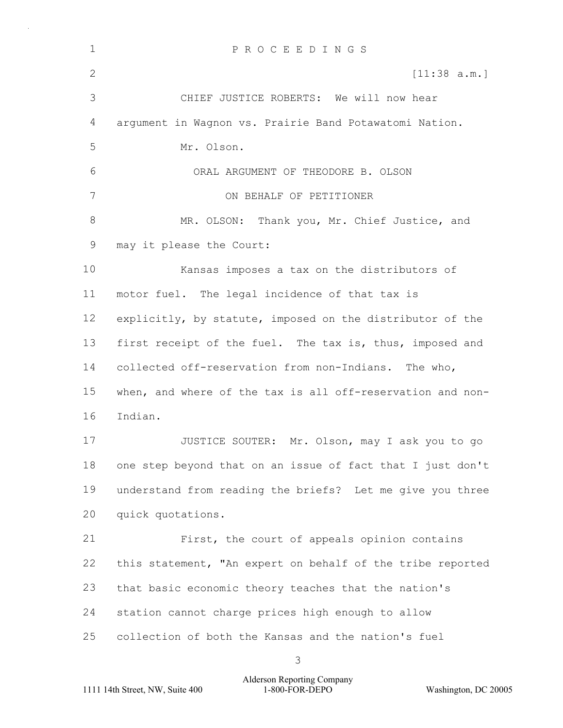| $\mathbf 1$ | PROCEEDINGS                                                |  |  |  |  |  |  |
|-------------|------------------------------------------------------------|--|--|--|--|--|--|
| 2           | [11:38 a.m.]                                               |  |  |  |  |  |  |
| 3           | CHIEF JUSTICE ROBERTS: We will now hear                    |  |  |  |  |  |  |
| 4           | argument in Wagnon vs. Prairie Band Potawatomi Nation.     |  |  |  |  |  |  |
| 5           | Mr. Olson.                                                 |  |  |  |  |  |  |
| 6           | ORAL ARGUMENT OF THEODORE B. OLSON                         |  |  |  |  |  |  |
| 7           | ON BEHALF OF PETITIONER                                    |  |  |  |  |  |  |
| 8           | MR. OLSON: Thank you, Mr. Chief Justice, and               |  |  |  |  |  |  |
| 9           | may it please the Court:                                   |  |  |  |  |  |  |
| 10          | Kansas imposes a tax on the distributors of                |  |  |  |  |  |  |
| 11          | motor fuel. The legal incidence of that tax is             |  |  |  |  |  |  |
| 12          | explicitly, by statute, imposed on the distributor of the  |  |  |  |  |  |  |
| 13          | first receipt of the fuel. The tax is, thus, imposed and   |  |  |  |  |  |  |
| 14          | collected off-reservation from non-Indians. The who,       |  |  |  |  |  |  |
| 15          | when, and where of the tax is all off-reservation and non- |  |  |  |  |  |  |
| 16          | Indian.                                                    |  |  |  |  |  |  |
| 17          | JUSTICE SOUTER: Mr. Olson, may I ask you to go             |  |  |  |  |  |  |
| 18          | one step beyond that on an issue of fact that I just don't |  |  |  |  |  |  |
| 19          | understand from reading the briefs? Let me give you three  |  |  |  |  |  |  |
| 20          | quick quotations.                                          |  |  |  |  |  |  |
| 21          | First, the court of appeals opinion contains               |  |  |  |  |  |  |
| 22          | this statement, "An expert on behalf of the tribe reported |  |  |  |  |  |  |
| 23          | that basic economic theory teaches that the nation's       |  |  |  |  |  |  |
| 24          | station cannot charge prices high enough to allow          |  |  |  |  |  |  |
| 25          | collection of both the Kansas and the nation's fuel        |  |  |  |  |  |  |
|             |                                                            |  |  |  |  |  |  |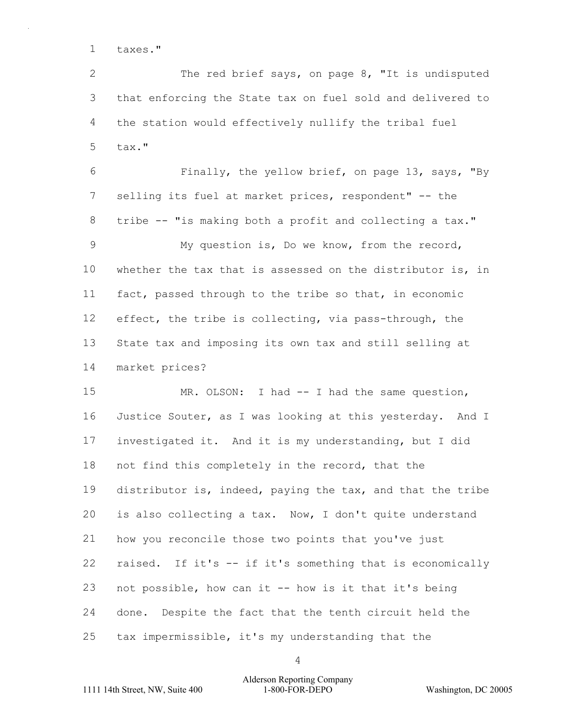1 taxes."

 $\mathcal{P}$ 3 4 5 The red brief says, on page 8, "It is undisputed that enforcing the State tax on fuel sold and delivered to the station would effectively nullify the tribal fuel tax."

6 7 8 9 10 11 12 13 14 Finally, the yellow brief, on page 13, says, "By selling its fuel at market prices, respondent" -- the tribe -- "is making both a profit and collecting a tax." My question is, Do we know, from the record, whether the tax that is assessed on the distributor is, in fact, passed through to the tribe so that, in economic effect, the tribe is collecting, via pass-through, the State tax and imposing its own tax and still selling at market prices?

15 16 17 18 19 20 21 22 23 24 25 MR. OLSON: I had -- I had the same question, Justice Souter, as I was looking at this yesterday. And I investigated it. And it is my understanding, but I did not find this completely in the record, that the distributor is, indeed, paying the tax, and that the tribe is also collecting a tax. Now, I don't quite understand how you reconcile those two points that you've just raised. If it's -- if it's something that is economically not possible, how can it -- how is it that it's being done. Despite the fact that the tenth circuit held the tax impermissible, it's my understanding that the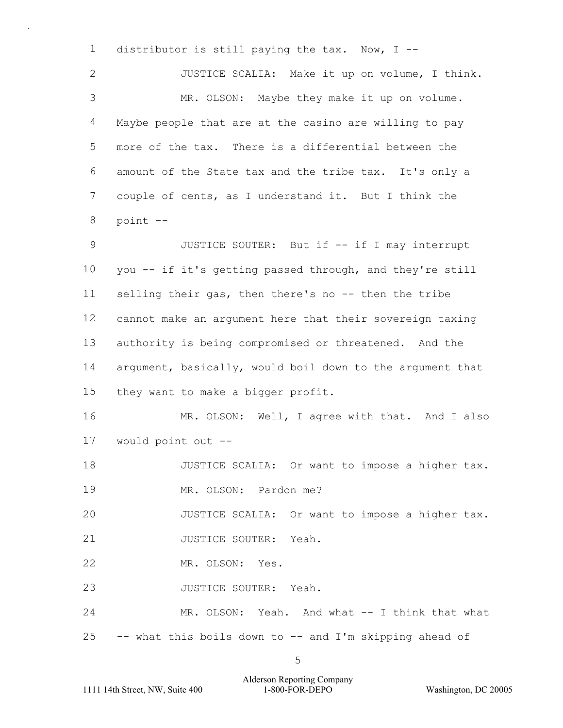1  $\mathfrak{D}$ 3 4 5 6 7 8 9 10 11 12 13 14 15 16 17 18 19 20 21 22 23 24 25 distributor is still paying the tax. Now, I -- JUSTICE SCALIA: Make it up on volume, I think. MR. OLSON: Maybe they make it up on volume. Maybe people that are at the casino are willing to pay more of the tax. There is a differential between the amount of the State tax and the tribe tax. It's only a couple of cents, as I understand it. But I think the point -- JUSTICE SOUTER: But if -- if I may interrupt you -- if it's getting passed through, and they're still selling their gas, then there's no -- then the tribe cannot make an argument here that their sovereign taxing authority is being compromised or threatened. And the argument, basically, would boil down to the argument that they want to make a bigger profit. MR. OLSON: Well, I agree with that. And I also would point out -- JUSTICE SCALIA: Or want to impose a higher tax. MR. OLSON: Pardon me? JUSTICE SCALIA: Or want to impose a higher tax. JUSTICE SOUTER: Yeah. MR. OLSON: Yes. JUSTICE SOUTER: Yeah. MR. OLSON: Yeah. And what -- I think that what -- what this boils down to -- and I'm skipping ahead of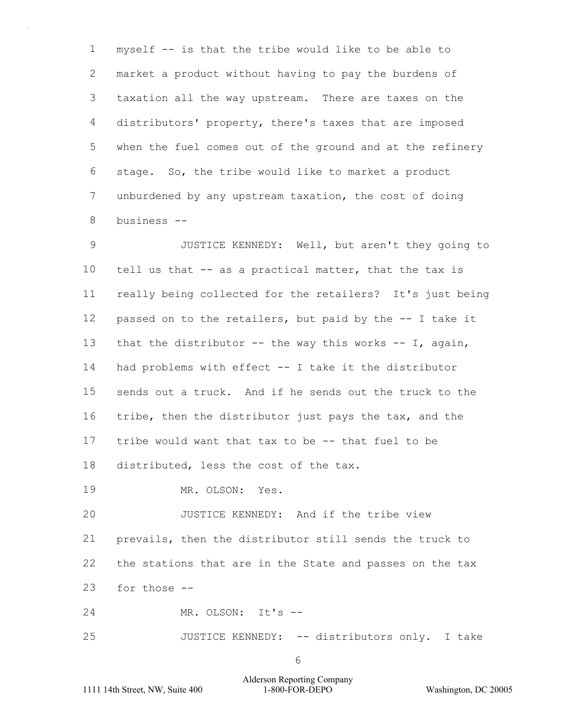1 2 3 4 5 6 7 8 myself -- is that the tribe would like to be able to market a product without having to pay the burdens of taxation all the way upstream. There are taxes on the distributors' property, there's taxes that are imposed when the fuel comes out of the ground and at the refinery stage. So, the tribe would like to market a product unburdened by any upstream taxation, the cost of doing business --

9 10 11 12 13 14 15 16 17 18 JUSTICE KENNEDY: Well, but aren't they going to tell us that -- as a practical matter, that the tax is really being collected for the retailers? It's just being passed on to the retailers, but paid by the -- I take it that the distributor  $--$  the way this works  $--$  I, again, had problems with effect -- I take it the distributor sends out a truck. And if he sends out the truck to the tribe, then the distributor just pays the tax, and the tribe would want that tax to be -- that fuel to be distributed, less the cost of the tax.

19 MR. OLSON: Yes.

20 21 22 23 JUSTICE KENNEDY: And if the tribe view prevails, then the distributor still sends the truck to the stations that are in the State and passes on the tax for those --

24 MR. OLSON: It's --

25 JUSTICE KENNEDY: -- distributors only. I take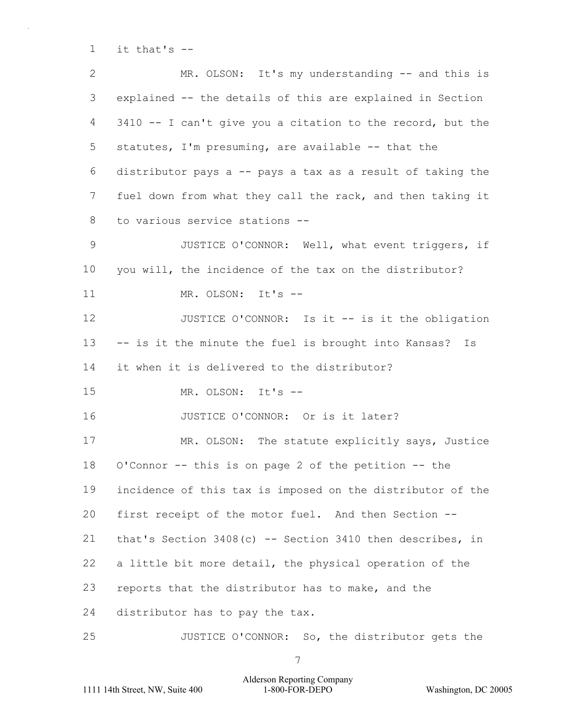1 it that's -

| $\overline{2}$ | MR. OLSON: It's my understanding -- and this is             |  |  |  |  |  |  |
|----------------|-------------------------------------------------------------|--|--|--|--|--|--|
| 3              | explained -- the details of this are explained in Section   |  |  |  |  |  |  |
| 4              | 3410 -- I can't give you a citation to the record, but the  |  |  |  |  |  |  |
| 5              | statutes, I'm presuming, are available -- that the          |  |  |  |  |  |  |
| 6              | distributor pays a -- pays a tax as a result of taking the  |  |  |  |  |  |  |
| $7\phantom{.}$ | fuel down from what they call the rack, and then taking it  |  |  |  |  |  |  |
| 8              | to various service stations --                              |  |  |  |  |  |  |
| $\mathsf 9$    | JUSTICE O'CONNOR: Well, what event triggers, if             |  |  |  |  |  |  |
| 10             | you will, the incidence of the tax on the distributor?      |  |  |  |  |  |  |
| 11             | MR. OLSON: It's --                                          |  |  |  |  |  |  |
| 12             | JUSTICE O'CONNOR: Is it -- is it the obligation             |  |  |  |  |  |  |
| 13             | -- is it the minute the fuel is brought into Kansas? Is     |  |  |  |  |  |  |
| 14             | it when it is delivered to the distributor?                 |  |  |  |  |  |  |
| 15             | MR. OLSON: It's --                                          |  |  |  |  |  |  |
|                |                                                             |  |  |  |  |  |  |
| 16             | JUSTICE O'CONNOR: Or is it later?                           |  |  |  |  |  |  |
| 17             | MR. OLSON: The statute explicitly says, Justice             |  |  |  |  |  |  |
| 18             | O'Connor -- this is on page 2 of the petition -- the        |  |  |  |  |  |  |
| 19             | incidence of this tax is imposed on the distributor of the  |  |  |  |  |  |  |
| 20             | first receipt of the motor fuel. And then Section --        |  |  |  |  |  |  |
| 21             | that's Section $3408(c)$ -- Section 3410 then describes, in |  |  |  |  |  |  |
| 22             | a little bit more detail, the physical operation of the     |  |  |  |  |  |  |
| 23             | reports that the distributor has to make, and the           |  |  |  |  |  |  |
| 24             | distributor has to pay the tax.                             |  |  |  |  |  |  |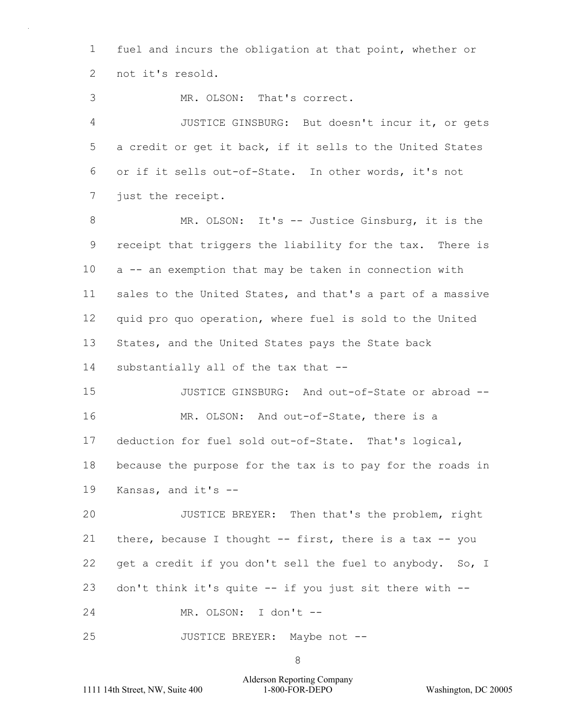1  $\mathcal{P}$ fuel and incurs the obligation at that point, whether or not it's resold.

3 MR. OLSON: That's correct.

4 5 6 7 JUSTICE GINSBURG: But doesn't incur it, or gets a credit or get it back, if it sells to the United States or if it sells out-of-State. In other words, it's not just the receipt.

8 9 10 11 12 13 14 MR. OLSON: It's -- Justice Ginsburg, it is the receipt that triggers the liability for the tax. There is a -- an exemption that may be taken in connection with sales to the United States, and that's a part of a massive quid pro quo operation, where fuel is sold to the United States, and the United States pays the State back substantially all of the tax that --

15 16 17 18 19 JUSTICE GINSBURG: And out-of-State or abroad -- MR. OLSON: And out-of-State, there is a deduction for fuel sold out-of-State. That's logical, because the purpose for the tax is to pay for the roads in Kansas, and it's --

20 21 22 23 JUSTICE BREYER: Then that's the problem, right there, because I thought  $--$  first, there is a tax  $--$  you get a credit if you don't sell the fuel to anybody. So, I don't think it's quite -- if you just sit there with --

24 MR. OLSON: I don't --

25 JUSTICE BREYER: Maybe not --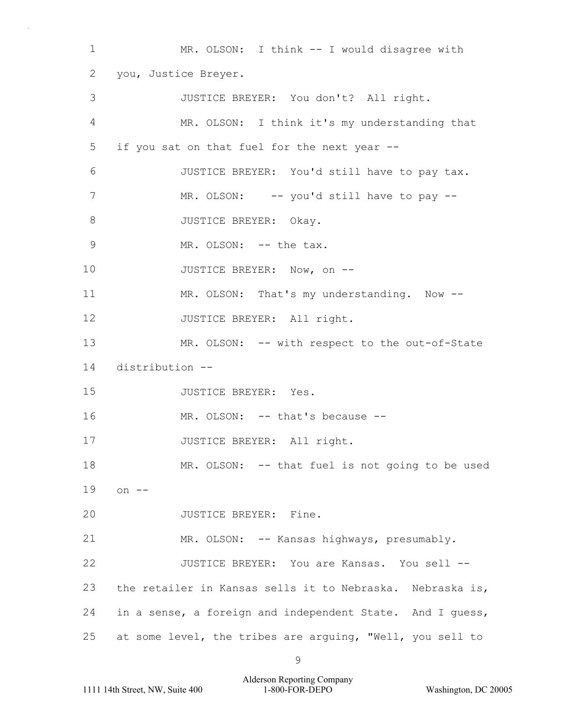1 2 3 4 5 6 7 8 9 10 11 12 13 14 15 16 17 18 19 20 21 22 23 24 25 MR. OLSON: I think -- I would disagree with you, Justice Breyer. JUSTICE BREYER: You don't? All right. MR. OLSON: I think it's my understanding that if you sat on that fuel for the next year --JUSTICE BREYER: You'd still have to pay tax. MR. OLSON: -- you'd still have to pay --JUSTICE BREYER: Okay. MR. OLSON: -- the tax. JUSTICE BREYER: Now, on -- MR. OLSON: That's my understanding. Now --JUSTICE BREYER: All right. MR. OLSON: -- with respect to the out-of-State distribution -- JUSTICE BREYER: Yes. MR. OLSON: -- that's because --JUSTICE BREYER: All right. MR. OLSON: -- that fuel is not going to be used on  $--$ JUSTICE BREYER: Fine. MR. OLSON: -- Kansas highways, presumably. JUSTICE BREYER: You are Kansas. You sell - the retailer in Kansas sells it to Nebraska. Nebraska is, in a sense, a foreign and independent State. And I guess, at some level, the tribes are arguing, "Well, you sell to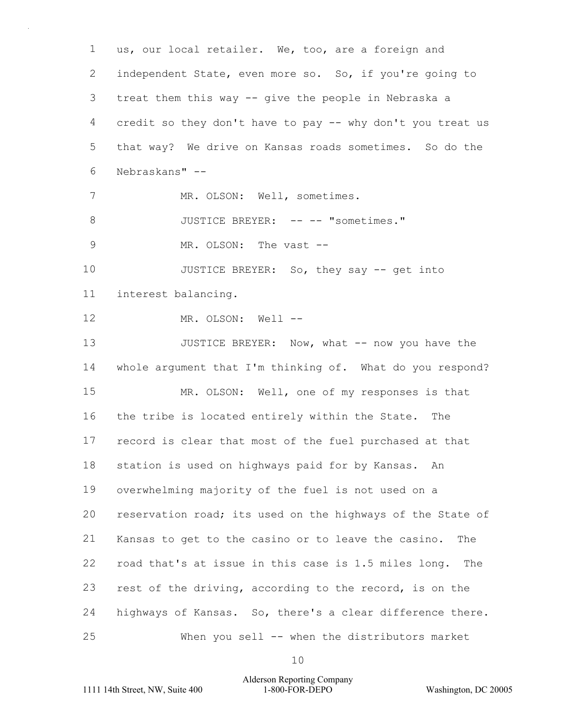1  $\mathcal{P}$ 3 4 5 6 7 8 9 10 11 12 13 14 15 16 17 18 19 20 21 22 23 24 25 us, our local retailer. We, too, are a foreign and independent State, even more so. So, if you're going to treat them this way -- give the people in Nebraska a credit so they don't have to pay -- why don't you treat us that way? We drive on Kansas roads sometimes. So do the Nebraskans" -- MR. OLSON: Well, sometimes. JUSTICE BREYER: -- -- "sometimes." MR. OLSON: The vast --JUSTICE BREYER: So, they say -- get into interest balancing. MR. OLSON: Well --JUSTICE BREYER: Now, what -- now you have the whole argument that I'm thinking of. What do you respond? MR. OLSON: Well, one of my responses is that the tribe is located entirely within the State. The record is clear that most of the fuel purchased at that station is used on highways paid for by Kansas. An overwhelming majority of the fuel is not used on a reservation road; its used on the highways of the State of Kansas to get to the casino or to leave the casino. The road that's at issue in this case is 1.5 miles long. The rest of the driving, according to the record, is on the highways of Kansas. So, there's a clear difference there. When you sell -- when the distributors market

10

### Alderson Reporting Company 1111 14th Street, NW, Suite 400 1-800-FOR-DEPO Washington, DC 20005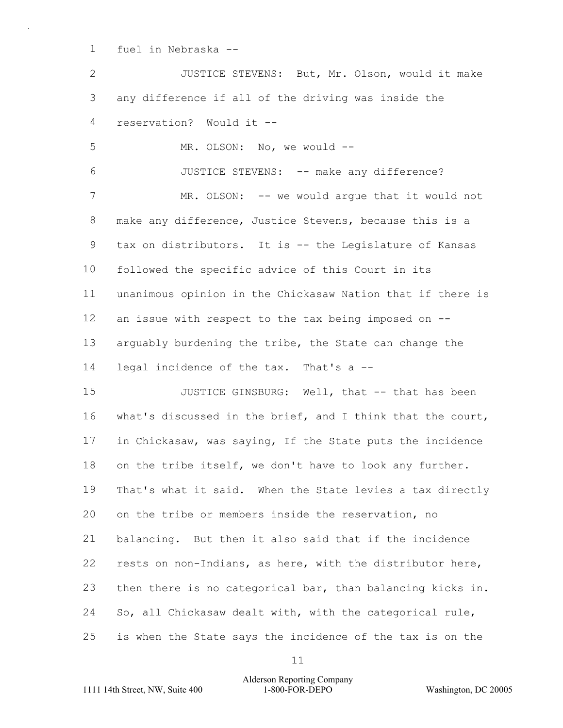1 fuel in Nebraska --

 $\mathfrak{D}$ 3 4 JUSTICE STEVENS: But, Mr. Olson, would it make any difference if all of the driving was inside the reservation? Would it --

5 MR. OLSON: No, we would --

6 JUSTICE STEVENS: -- make any difference?

7 8 9 10 11 12 13 14 MR. OLSON: -- we would argue that it would not make any difference, Justice Stevens, because this is a tax on distributors. It is -- the Legislature of Kansas followed the specific advice of this Court in its unanimous opinion in the Chickasaw Nation that if there is an issue with respect to the tax being imposed on - arguably burdening the tribe, the State can change the legal incidence of the tax. That's a --

15 16 17 18 19 20 21 22 23 24 25 JUSTICE GINSBURG: Well, that -- that has been what's discussed in the brief, and I think that the court, in Chickasaw, was saying, If the State puts the incidence on the tribe itself, we don't have to look any further. That's what it said. When the State levies a tax directly on the tribe or members inside the reservation, no balancing. But then it also said that if the incidence rests on non-Indians, as here, with the distributor here, then there is no categorical bar, than balancing kicks in. So, all Chickasaw dealt with, with the categorical rule, is when the State says the incidence of the tax is on the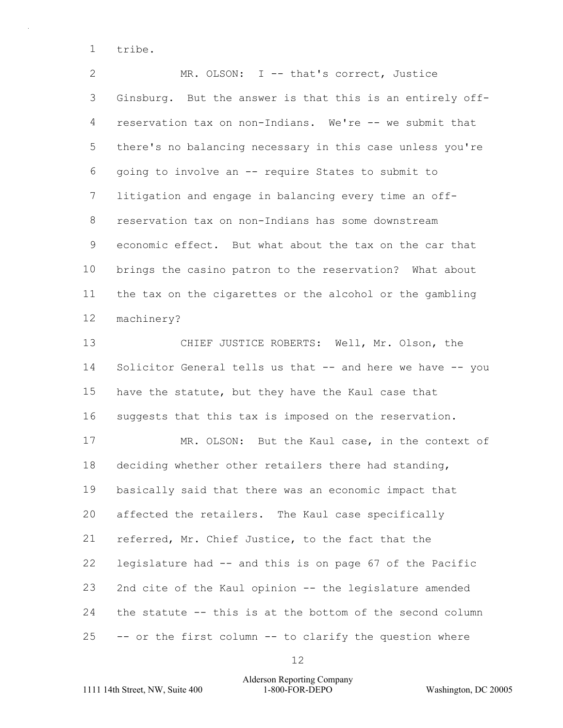1 tribe.

 $\mathcal{P}$ 3 4 5 6 7 8 9 10 11 12 MR. OLSON: I -- that's correct, Justice Ginsburg. But the answer is that this is an entirely offreservation tax on non-Indians. We're -- we submit that there's no balancing necessary in this case unless you're going to involve an -- require States to submit to litigation and engage in balancing every time an offreservation tax on non-Indians has some downstream economic effect. But what about the tax on the car that brings the casino patron to the reservation? What about the tax on the cigarettes or the alcohol or the gambling machinery?

13 14 15 16 CHIEF JUSTICE ROBERTS: Well, Mr. Olson, the Solicitor General tells us that -- and here we have -- you have the statute, but they have the Kaul case that suggests that this tax is imposed on the reservation.

17 18 19 20 21 22 23 24 25 MR. OLSON: But the Kaul case, in the context of deciding whether other retailers there had standing, basically said that there was an economic impact that affected the retailers. The Kaul case specifically referred, Mr. Chief Justice, to the fact that the legislature had -- and this is on page 67 of the Pacific 2nd cite of the Kaul opinion -- the legislature amended the statute -- this is at the bottom of the second column -- or the first column -- to clarify the question where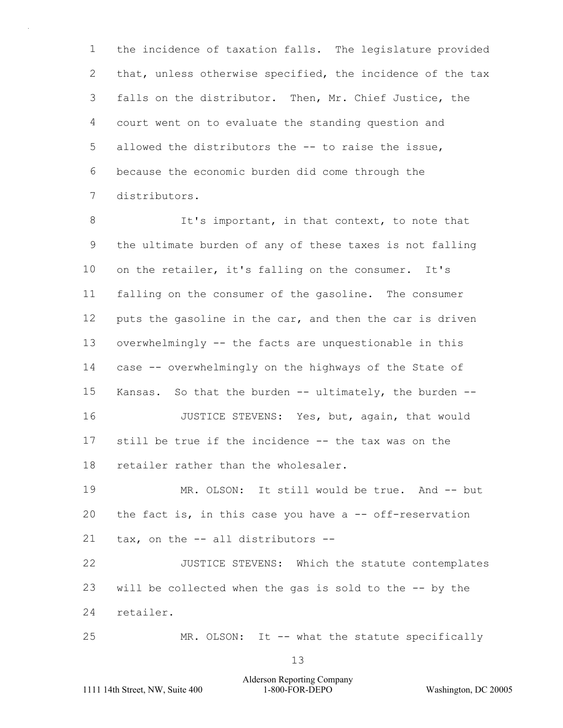1  $\mathcal{P}$ 3 4 5 6 7 the incidence of taxation falls. The legislature provided that, unless otherwise specified, the incidence of the tax falls on the distributor. Then, Mr. Chief Justice, the court went on to evaluate the standing question and allowed the distributors the -- to raise the issue, because the economic burden did come through the distributors.

8 9 10 11 12 13 14 15 16 17 18 19 20 21 22 23 It's important, in that context, to note that the ultimate burden of any of these taxes is not falling on the retailer, it's falling on the consumer. It's falling on the consumer of the gasoline. The consumer puts the gasoline in the car, and then the car is driven overwhelmingly -- the facts are unquestionable in this case -- overwhelmingly on the highways of the State of Kansas. So that the burden -- ultimately, the burden -- JUSTICE STEVENS: Yes, but, again, that would still be true if the incidence -- the tax was on the retailer rather than the wholesaler. MR. OLSON: It still would be true. And -- but the fact is, in this case you have a -- off-reservation tax, on the -- all distributors -- JUSTICE STEVENS: Which the statute contemplates will be collected when the gas is sold to the -- by the

24 retailer.

25 MR. OLSON: It -- what the statute specifically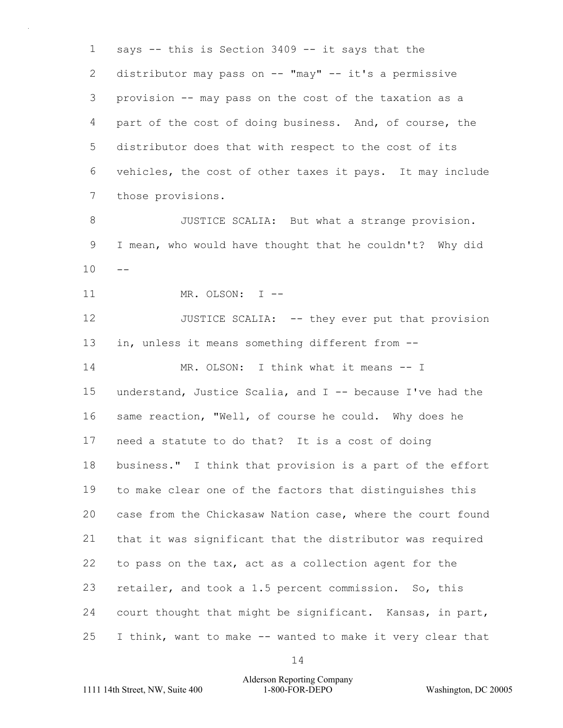1 2 3 4 5 6 7 says -- this is Section 3409 -- it says that the distributor may pass on -- "may" -- it's a permissive provision -- may pass on the cost of the taxation as a part of the cost of doing business. And, of course, the distributor does that with respect to the cost of its vehicles, the cost of other taxes it pays. It may include those provisions.

8 9  $10 - -$  JUSTICE SCALIA: But what a strange provision. I mean, who would have thought that he couldn't? Why did

11 MR. OLSON: I --

12 13 14 JUSTICE SCALIA: -- they ever put that provision in, unless it means something different from -- MR. OLSON: I think what it means -- I

15 16 17 18 19 20 21 22 23 24 25 understand, Justice Scalia, and I -- because I've had the same reaction, "Well, of course he could. Why does he need a statute to do that? It is a cost of doing business." I think that provision is a part of the effort to make clear one of the factors that distinguishes this case from the Chickasaw Nation case, where the court found that it was significant that the distributor was required to pass on the tax, act as a collection agent for the retailer, and took a 1.5 percent commission. So, this court thought that might be significant. Kansas, in part, I think, want to make -- wanted to make it very clear that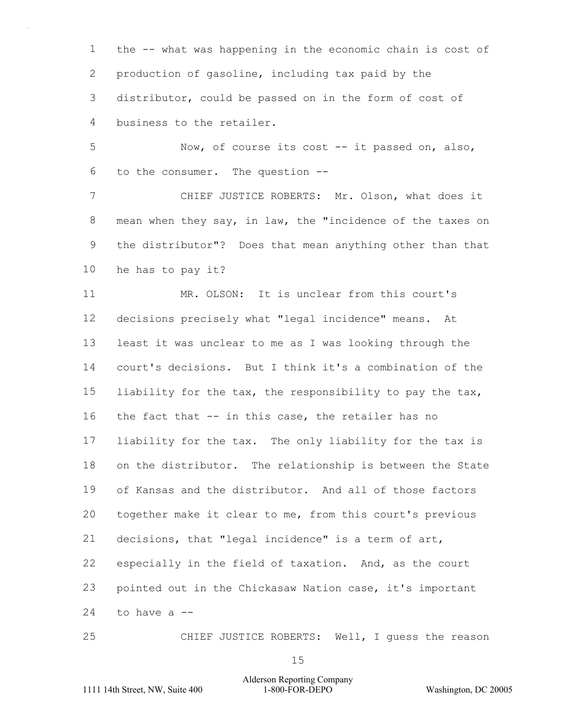1 2 3 4 the -- what was happening in the economic chain is cost of production of gasoline, including tax paid by the distributor, could be passed on in the form of cost of business to the retailer.

5 6 Now, of course its cost -- it passed on, also, to the consumer. The question --

7 8 9 10 CHIEF JUSTICE ROBERTS: Mr. Olson, what does it mean when they say, in law, the "incidence of the taxes on the distributor"? Does that mean anything other than that he has to pay it?

11 12 13 14 15 16 17 18 19 20 21 22 23 24 MR. OLSON: It is unclear from this court's decisions precisely what "legal incidence" means. At least it was unclear to me as I was looking through the court's decisions. But I think it's a combination of the liability for the tax, the responsibility to pay the tax, the fact that -- in this case, the retailer has no liability for the tax. The only liability for the tax is on the distributor. The relationship is between the State of Kansas and the distributor. And all of those factors together make it clear to me, from this court's previous decisions, that "legal incidence" is a term of art, especially in the field of taxation. And, as the court pointed out in the Chickasaw Nation case, it's important to have a --

CHIEF JUSTICE ROBERTS: Well, I guess the reason

15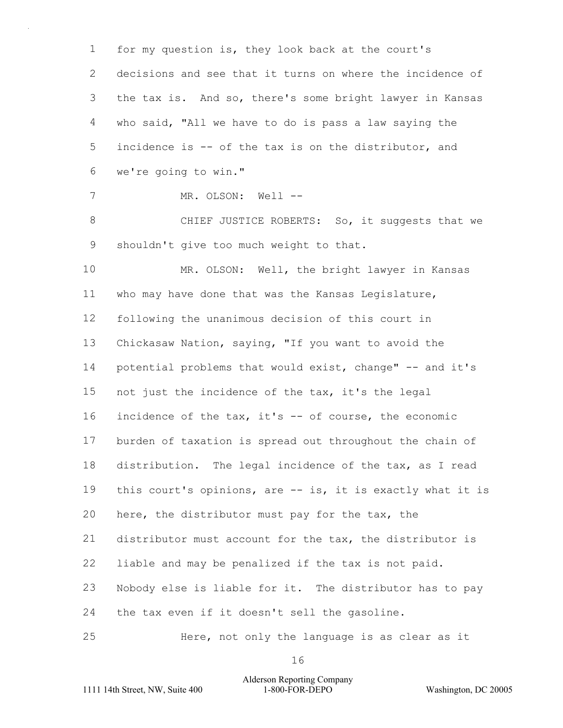1  $\mathcal{P}$ 3 4 5 6 7 8 9 10 11 12 13 14 15 16 17 18 19 20 21 22 23 24 25 for my question is, they look back at the court's decisions and see that it turns on where the incidence of the tax is. And so, there's some bright lawyer in Kansas who said, "All we have to do is pass a law saying the incidence is -- of the tax is on the distributor, and we're going to win." MR. OLSON: Well --CHIEF JUSTICE ROBERTS: So, it suggests that we shouldn't give too much weight to that. MR. OLSON: Well, the bright lawyer in Kansas who may have done that was the Kansas Legislature, following the unanimous decision of this court in Chickasaw Nation, saying, "If you want to avoid the potential problems that would exist, change" -- and it's not just the incidence of the tax, it's the legal incidence of the tax, it's -- of course, the economic burden of taxation is spread out throughout the chain of distribution. The legal incidence of the tax, as I read this court's opinions, are -- is, it is exactly what it is here, the distributor must pay for the tax, the distributor must account for the tax, the distributor is liable and may be penalized if the tax is not paid. Nobody else is liable for it. The distributor has to pay the tax even if it doesn't sell the gasoline. Here, not only the language is as clear as it

16

Alderson Reporting Company 1111 14th Street, NW, Suite 400 1-800-FOR-DEPO Washington, DC 20005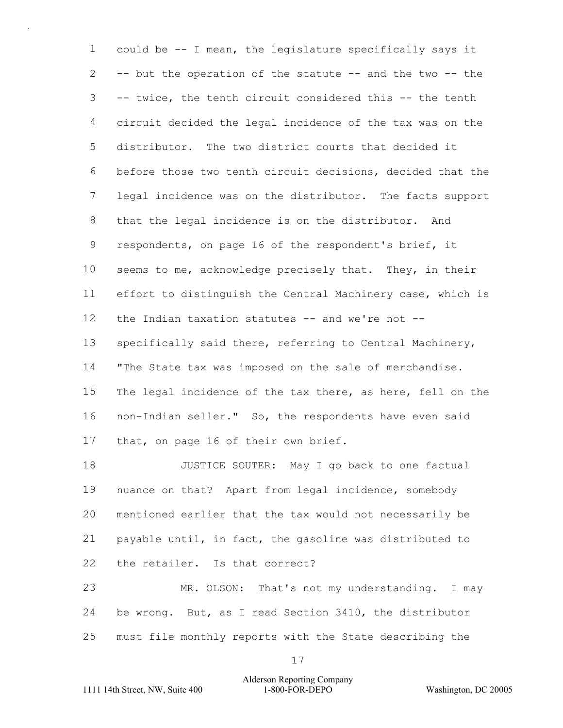1  $\mathcal{P}$ 3 4 5 6 7 8 9 10 11 12 13 14 15 16 17 could be -- I mean, the legislature specifically says it -- but the operation of the statute -- and the two -- the -- twice, the tenth circuit considered this -- the tenth circuit decided the legal incidence of the tax was on the distributor. The two district courts that decided it before those two tenth circuit decisions, decided that the legal incidence was on the distributor. The facts support that the legal incidence is on the distributor. And respondents, on page 16 of the respondent's brief, it seems to me, acknowledge precisely that. They, in their effort to distinguish the Central Machinery case, which is the Indian taxation statutes  $--$  and we're not  $-$ specifically said there, referring to Central Machinery, "The State tax was imposed on the sale of merchandise. The legal incidence of the tax there, as here, fell on the non-Indian seller." So, the respondents have even said that, on page 16 of their own brief.

18 19 20 21 22 JUSTICE SOUTER: May I go back to one factual nuance on that? Apart from legal incidence, somebody mentioned earlier that the tax would not necessarily be payable until, in fact, the gasoline was distributed to the retailer. Is that correct?

23 24 25 MR. OLSON: That's not my understanding. I may be wrong. But, as I read Section 3410, the distributor must file monthly reports with the State describing the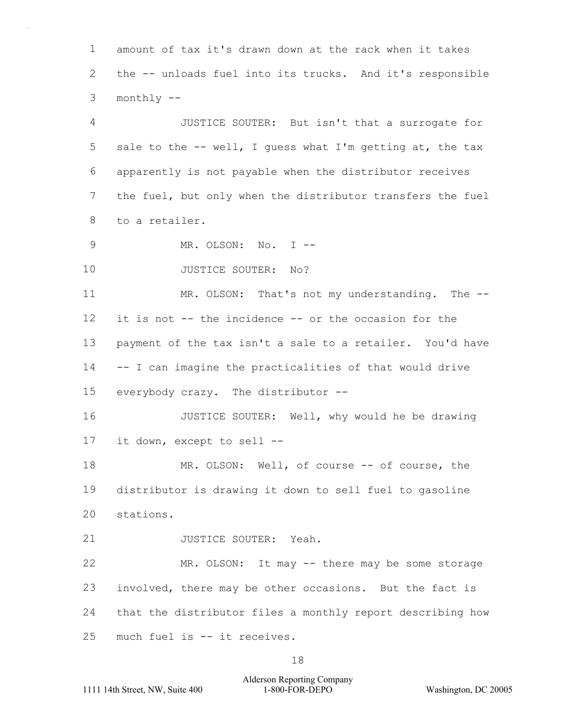1  $\mathcal{P}$ 3 amount of tax it's drawn down at the rack when it takes the -- unloads fuel into its trucks. And it's responsible monthly --

4 5 6 7 8 JUSTICE SOUTER: But isn't that a surrogate for sale to the -- well, I guess what I'm getting at, the tax apparently is not payable when the distributor receives the fuel, but only when the distributor transfers the fuel to a retailer.

9 MR. OLSON: No. I --

10 JUSTICE SOUTER: No?

11 12 13 14 15 MR. OLSON: That's not my understanding. The -it is not -- the incidence -- or the occasion for the payment of the tax isn't a sale to a retailer. You'd have -- I can imagine the practicalities of that would drive everybody crazy. The distributor --

16 17 JUSTICE SOUTER: Well, why would he be drawing it down, except to sell --

18 19 20 MR. OLSON: Well, of course -- of course, the distributor is drawing it down to sell fuel to gasoline stations.

21 JUSTICE SOUTER: Yeah.

22 23 24 25 MR. OLSON: It may -- there may be some storage involved, there may be other occasions. But the fact is that the distributor files a monthly report describing how much fuel is -- it receives.

18

## Alderson Reporting Company 1111 14th Street, NW, Suite 400 1-800-FOR-DEPO Washington, DC 20005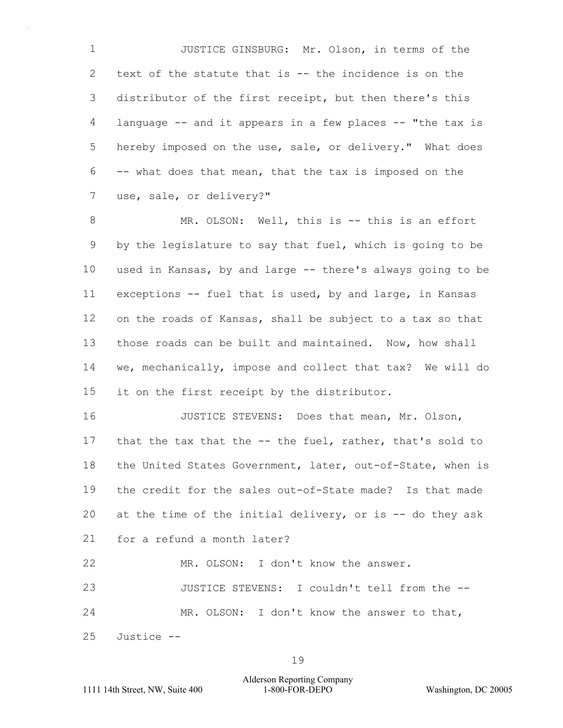1 2 3 4 5 6 7 JUSTICE GINSBURG: Mr. Olson, in terms of the text of the statute that is -- the incidence is on the distributor of the first receipt, but then there's this language -- and it appears in a few places -- "the tax is hereby imposed on the use, sale, or delivery." What does -- what does that mean, that the tax is imposed on the use, sale, or delivery?"

8 9 10 11 12 13 14 15 MR. OLSON: Well, this is -- this is an effort by the legislature to say that fuel, which is going to be used in Kansas, by and large -- there's always going to be exceptions -- fuel that is used, by and large, in Kansas on the roads of Kansas, shall be subject to a tax so that those roads can be built and maintained. Now, how shall we, mechanically, impose and collect that tax? We will do it on the first receipt by the distributor.

16 17 18 19 20 21 JUSTICE STEVENS: Does that mean, Mr. Olson, that the tax that the -- the fuel, rather, that's sold to the United States Government, later, out-of-State, when is the credit for the sales out-of-State made? Is that made at the time of the initial delivery, or is -- do they ask for a refund a month later?

22 MR. OLSON: I don't know the answer.

23 24 JUSTICE STEVENS: I couldn't tell from the -- MR. OLSON: I don't know the answer to that,

25 Justice --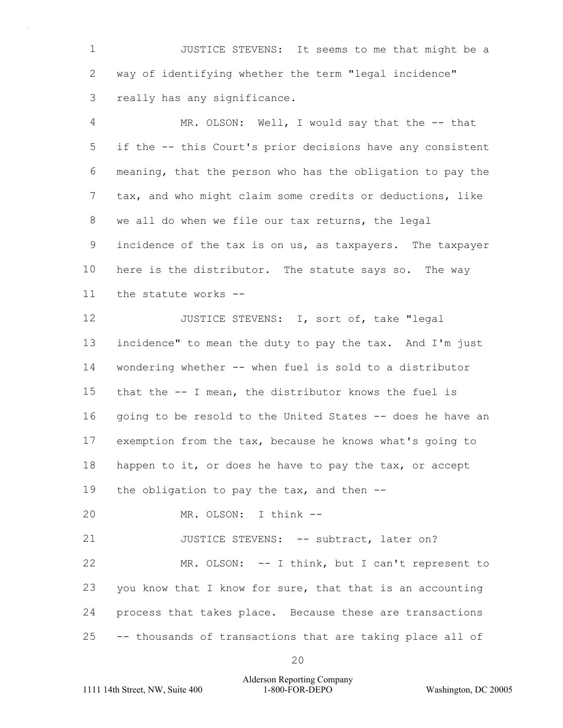1 2 3 JUSTICE STEVENS: It seems to me that might be a way of identifying whether the term "legal incidence" really has any significance.

4 5 6 7 8 9 10 11 MR. OLSON: Well, I would say that the -- that if the -- this Court's prior decisions have any consistent meaning, that the person who has the obligation to pay the tax, and who might claim some credits or deductions, like we all do when we file our tax returns, the legal incidence of the tax is on us, as taxpayers. The taxpayer here is the distributor. The statute says so. The way the statute works --

12 13 14 15 16 17 18 19 JUSTICE STEVENS: I, sort of, take "legal incidence" to mean the duty to pay the tax. And I'm just wondering whether -- when fuel is sold to a distributor that the -- I mean, the distributor knows the fuel is going to be resold to the United States -- does he have an exemption from the tax, because he knows what's going to happen to it, or does he have to pay the tax, or accept the obligation to pay the tax, and then  $-$ -

20 MR. OLSON: I think --

21 JUSTICE STEVENS: -- subtract, later on?

22 23 24 25 MR. OLSON: -- I think, but I can't represent to you know that I know for sure, that that is an accounting process that takes place. Because these are transactions -- thousands of transactions that are taking place all of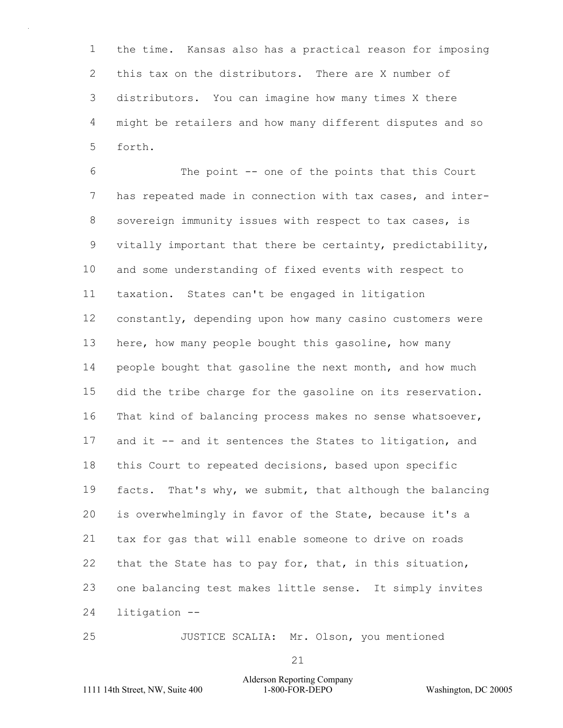1  $\mathcal{P}$ 3 4 5 the time. Kansas also has a practical reason for imposing this tax on the distributors. There are X number of distributors. You can imagine how many times X there might be retailers and how many different disputes and so forth.

6 7 8 9 10 11 12 13 14 15 16 17 18 19 20 21 22 23 24 The point -- one of the points that this Court has repeated made in connection with tax cases, and intersovereign immunity issues with respect to tax cases, is vitally important that there be certainty, predictability, and some understanding of fixed events with respect to taxation. States can't be engaged in litigation constantly, depending upon how many casino customers were here, how many people bought this gasoline, how many people bought that gasoline the next month, and how much did the tribe charge for the gasoline on its reservation. That kind of balancing process makes no sense whatsoever, and it -- and it sentences the States to litigation, and this Court to repeated decisions, based upon specific facts. That's why, we submit, that although the balancing is overwhelmingly in favor of the State, because it's a tax for gas that will enable someone to drive on roads that the State has to pay for, that, in this situation, one balancing test makes little sense. It simply invites litigation --

JUSTICE SCALIA: Mr. Olson, you mentioned

21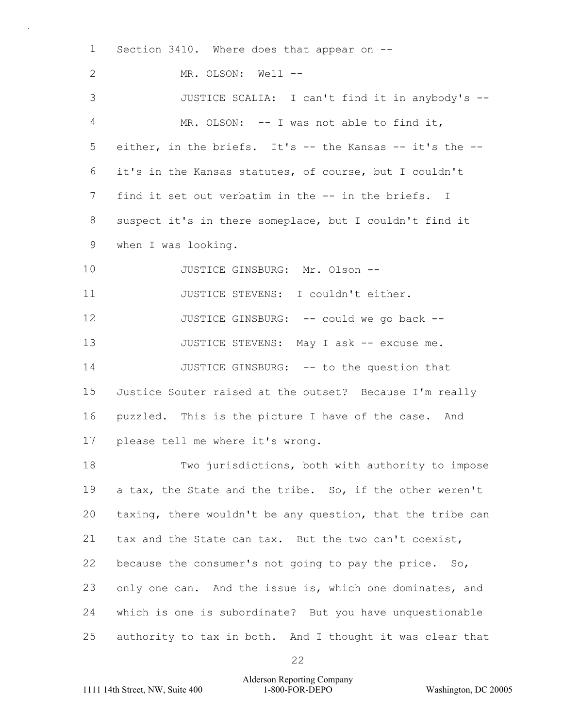1  $\mathfrak{D}$ 3 4 5 6 7 8 9 10 11 12 13 14 15 16 17 18 19 20 21 22 23 24 25 Section 3410. Where does that appear on --MR. OLSON: Well --JUSTICE SCALIA: I can't find it in anybody's -- MR. OLSON: -- I was not able to find it, either, in the briefs. It's -- the Kansas -- it's the -it's in the Kansas statutes, of course, but I couldn't find it set out verbatim in the -- in the briefs. I suspect it's in there someplace, but I couldn't find it when I was looking. JUSTICE GINSBURG: Mr. Olson -- JUSTICE STEVENS: I couldn't either. JUSTICE GINSBURG: -- could we go back --JUSTICE STEVENS: May I ask -- excuse me. JUSTICE GINSBURG: -- to the question that Justice Souter raised at the outset? Because I'm really puzzled. This is the picture I have of the case. And please tell me where it's wrong. Two jurisdictions, both with authority to impose a tax, the State and the tribe. So, if the other weren't taxing, there wouldn't be any question, that the tribe can tax and the State can tax. But the two can't coexist, because the consumer's not going to pay the price. So, only one can. And the issue is, which one dominates, and which is one is subordinate? But you have unquestionable authority to tax in both. And I thought it was clear that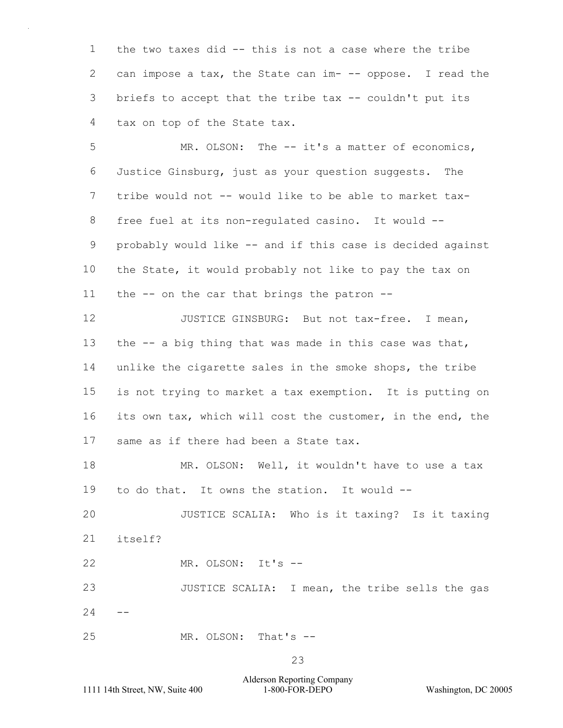1  $\mathcal{P}$ 3 4 the two taxes did -- this is not a case where the tribe can impose a tax, the State can im- -- oppose. I read the briefs to accept that the tribe tax -- couldn't put its tax on top of the State tax.

5 6 7 8 9 10 11 MR. OLSON: The -- it's a matter of economics, Justice Ginsburg, just as your question suggests. The tribe would not -- would like to be able to market taxfree fuel at its non-regulated casino. It would - probably would like -- and if this case is decided against the State, it would probably not like to pay the tax on the -- on the car that brings the patron --

12 13 14 15 16 17 JUSTICE GINSBURG: But not tax-free. I mean, the  $--$  a big thing that was made in this case was that, unlike the cigarette sales in the smoke shops, the tribe is not trying to market a tax exemption. It is putting on its own tax, which will cost the customer, in the end, the same as if there had been a State tax.

18 19 MR. OLSON: Well, it wouldn't have to use a tax to do that. It owns the station. It would --

20 21 JUSTICE SCALIA: Who is it taxing? Is it taxing itself?

22 MR. OLSON: It's --

23  $24$ JUSTICE SCALIA: I mean, the tribe sells the gas

25 MR. OLSON: That's --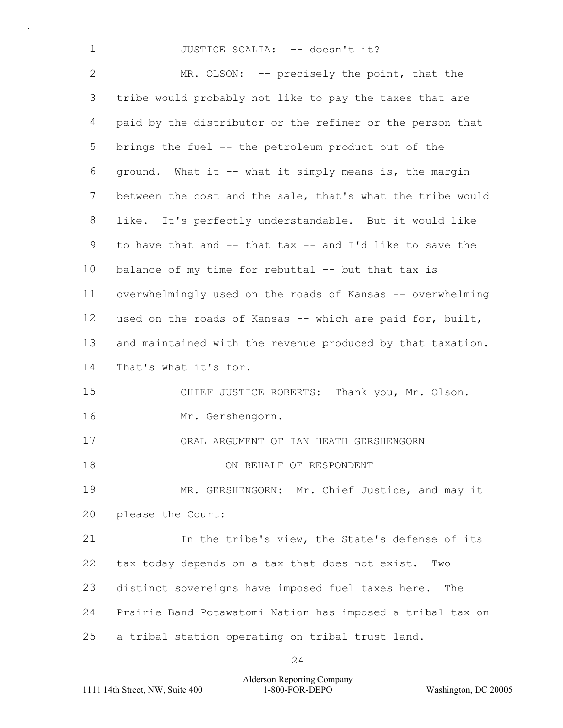# JUSTICE SCALIA: -- doesn't it?

 $\mathcal{P}$ 3 4 5 6 7 8 9 10 11 12 13 14 15 16 17 18 19 20 21 22 23 24 25 MR. OLSON: -- precisely the point, that the tribe would probably not like to pay the taxes that are paid by the distributor or the refiner or the person that brings the fuel -- the petroleum product out of the ground. What it -- what it simply means is, the margin between the cost and the sale, that's what the tribe would like. It's perfectly understandable. But it would like to have that and -- that tax -- and I'd like to save the balance of my time for rebuttal -- but that tax is overwhelmingly used on the roads of Kansas -- overwhelming used on the roads of Kansas -- which are paid for, built, and maintained with the revenue produced by that taxation. That's what it's for. CHIEF JUSTICE ROBERTS: Thank you, Mr. Olson. Mr. Gershengorn. ORAL ARGUMENT OF IAN HEATH GERSHENGORN ON BEHALF OF RESPONDENT MR. GERSHENGORN: Mr. Chief Justice, and may it please the Court: In the tribe's view, the State's defense of its tax today depends on a tax that does not exist. Two distinct sovereigns have imposed fuel taxes here. The Prairie Band Potawatomi Nation has imposed a tribal tax on a tribal station operating on tribal trust land.

24

Alderson Reporting Company 1111 14th Street, NW, Suite 400 1-800-FOR-DEPO Washington, DC 20005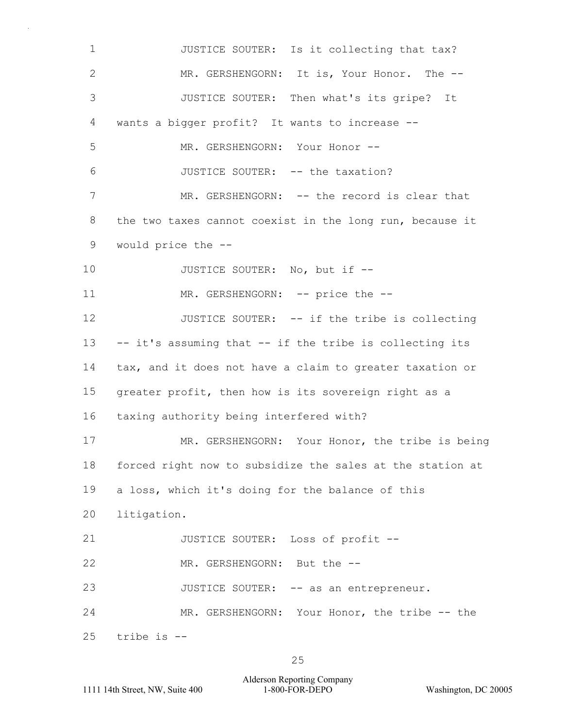| $\mathbf 1$  | JUSTICE SOUTER: Is it collecting that tax?                |  |  |  |  |  |  |  |  |
|--------------|-----------------------------------------------------------|--|--|--|--|--|--|--|--|
| $\mathbf{2}$ | MR. GERSHENGORN: It is, Your Honor. The --                |  |  |  |  |  |  |  |  |
| 3            | JUSTICE SOUTER: Then what's its gripe? It                 |  |  |  |  |  |  |  |  |
| 4            | wants a bigger profit? It wants to increase --            |  |  |  |  |  |  |  |  |
| 5            | MR. GERSHENGORN: Your Honor --                            |  |  |  |  |  |  |  |  |
| 6            | JUSTICE SOUTER: -- the taxation?                          |  |  |  |  |  |  |  |  |
| 7            | MR. GERSHENGORN: -- the record is clear that              |  |  |  |  |  |  |  |  |
| 8            | the two taxes cannot coexist in the long run, because it  |  |  |  |  |  |  |  |  |
| 9            | would price the --                                        |  |  |  |  |  |  |  |  |
| 10           | JUSTICE SOUTER: No, but if --                             |  |  |  |  |  |  |  |  |
| 11           | MR. GERSHENGORN: -- price the --                          |  |  |  |  |  |  |  |  |
| 12           | JUSTICE SOUTER: -- if the tribe is collecting             |  |  |  |  |  |  |  |  |
| 13           | -- it's assuming that -- if the tribe is collecting its   |  |  |  |  |  |  |  |  |
| 14           | tax, and it does not have a claim to greater taxation or  |  |  |  |  |  |  |  |  |
| 15           | greater profit, then how is its sovereign right as a      |  |  |  |  |  |  |  |  |
| 16           | taxing authority being interfered with?                   |  |  |  |  |  |  |  |  |
| 17           | MR. GERSHENGORN: Your Honor, the tribe is being           |  |  |  |  |  |  |  |  |
| 18           | forced right now to subsidize the sales at the station at |  |  |  |  |  |  |  |  |
| 19           | a loss, which it's doing for the balance of this          |  |  |  |  |  |  |  |  |
| 20           | litigation.                                               |  |  |  |  |  |  |  |  |
| 21           | JUSTICE SOUTER: Loss of profit --                         |  |  |  |  |  |  |  |  |
| 22           | MR. GERSHENGORN: But the --                               |  |  |  |  |  |  |  |  |
| 23           | JUSTICE SOUTER: -- as an entrepreneur.                    |  |  |  |  |  |  |  |  |
| 24           | MR. GERSHENGORN: Your Honor, the tribe -- the             |  |  |  |  |  |  |  |  |
| 25           | tribe is --                                               |  |  |  |  |  |  |  |  |

Alderson Reporting Company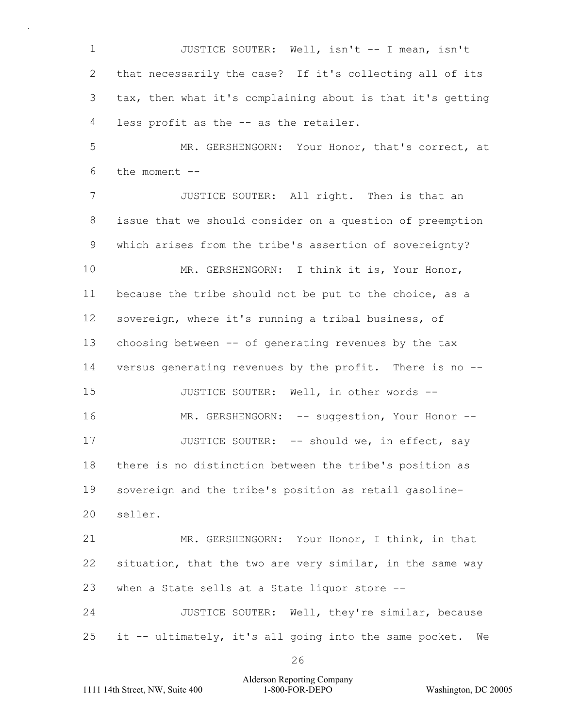1  $\mathcal{P}$ 3 4 JUSTICE SOUTER: Well, isn't -- I mean, isn't that necessarily the case? If it's collecting all of its tax, then what it's complaining about is that it's getting less profit as the -- as the retailer.

5 6 MR. GERSHENGORN: Your Honor, that's correct, at the moment --

7 8 9 10 11 12 13 14 15 16 17 18 19 20 21 22 23 JUSTICE SOUTER: All right. Then is that an issue that we should consider on a question of preemption which arises from the tribe's assertion of sovereignty? MR. GERSHENGORN: I think it is, Your Honor, because the tribe should not be put to the choice, as a sovereign, where it's running a tribal business, of choosing between -- of generating revenues by the tax versus generating revenues by the profit. There is no -- JUSTICE SOUTER: Well, in other words -- MR. GERSHENGORN: -- suggestion, Your Honor --JUSTICE SOUTER: -- should we, in effect, say there is no distinction between the tribe's position as sovereign and the tribe's position as retail gasolineseller. MR. GERSHENGORN: Your Honor, I think, in that situation, that the two are very similar, in the same way when a State sells at a State liquor store --

24 25 JUSTICE SOUTER: Well, they're similar, because it -- ultimately, it's all going into the same pocket. We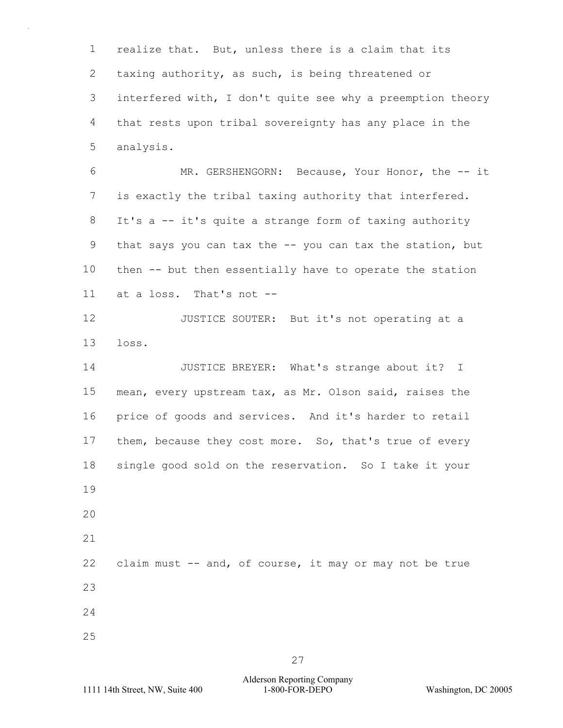1 2 3 4 5 realize that. But, unless there is a claim that its taxing authority, as such, is being threatened or interfered with, I don't quite see why a preemption theory that rests upon tribal sovereignty has any place in the analysis.

6 7 8 9 10 11 MR. GERSHENGORN: Because, Your Honor, the -- it is exactly the tribal taxing authority that interfered. It's a -- it's quite a strange form of taxing authority that says you can tax the -- you can tax the station, but then -- but then essentially have to operate the station at a loss. That's not --

12 13 JUSTICE SOUTER: But it's not operating at a loss.

14 15 16 17 18 19 20 21 JUSTICE BREYER: What's strange about it? I mean, every upstream tax, as Mr. Olson said, raises the price of goods and services. And it's harder to retail them, because they cost more. So, that's true of every single good sold on the reservation. So I take it your

22 23 24 claim must -- and, of course, it may or may not be true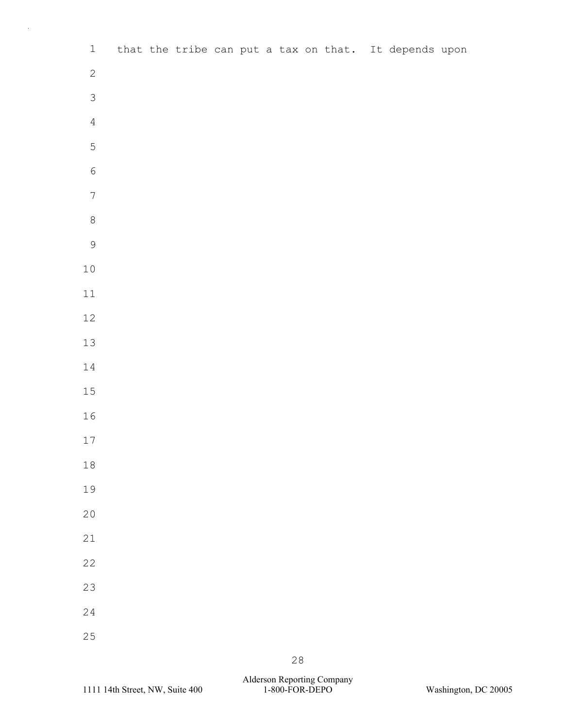| $\mathbf{1}$     |  |  |  |  |  | that the tribe can put a tax on that. It depends upon |  |
|------------------|--|--|--|--|--|-------------------------------------------------------|--|
| $\mathbf{2}$     |  |  |  |  |  |                                                       |  |
| $\mathfrak{Z}$   |  |  |  |  |  |                                                       |  |
| $\overline{4}$   |  |  |  |  |  |                                                       |  |
| $\mathbf 5$      |  |  |  |  |  |                                                       |  |
| $\sqrt{6}$       |  |  |  |  |  |                                                       |  |
| $\boldsymbol{7}$ |  |  |  |  |  |                                                       |  |
| $\,8\,$          |  |  |  |  |  |                                                       |  |
| $\mathcal{G}$    |  |  |  |  |  |                                                       |  |
| $1\,0$           |  |  |  |  |  |                                                       |  |
| $11\,$           |  |  |  |  |  |                                                       |  |
| $12\,$           |  |  |  |  |  |                                                       |  |
| $13\,$           |  |  |  |  |  |                                                       |  |
| $1\,4$           |  |  |  |  |  |                                                       |  |
| $15\,$           |  |  |  |  |  |                                                       |  |
| $16\,$           |  |  |  |  |  |                                                       |  |
| $17\,$           |  |  |  |  |  |                                                       |  |
| $1\,8$           |  |  |  |  |  |                                                       |  |
| 19               |  |  |  |  |  |                                                       |  |
| $20$             |  |  |  |  |  |                                                       |  |
| 21               |  |  |  |  |  |                                                       |  |
| 22               |  |  |  |  |  |                                                       |  |
| 23               |  |  |  |  |  |                                                       |  |
| 24               |  |  |  |  |  |                                                       |  |
| 25               |  |  |  |  |  |                                                       |  |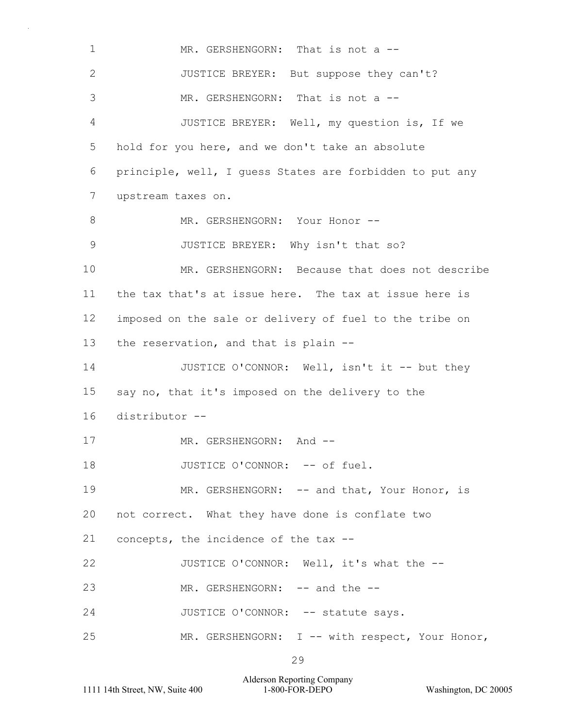1  $\mathfrak{D}$ 3 4 5 6 7 8 9 10 11 12 13 14 15 16 17 18 19 20 21 22 23 24 25 MR. GERSHENGORN: That is not a --JUSTICE BREYER: But suppose they can't? MR. GERSHENGORN: That is not a --JUSTICE BREYER: Well, my question is, If we hold for you here, and we don't take an absolute principle, well, I guess States are forbidden to put any upstream taxes on. MR. GERSHENGORN: Your Honor --JUSTICE BREYER: Why isn't that so? MR. GERSHENGORN: Because that does not describe the tax that's at issue here. The tax at issue here is imposed on the sale or delivery of fuel to the tribe on the reservation, and that is plain -- JUSTICE O'CONNOR: Well, isn't it -- but they say no, that it's imposed on the delivery to the distributor -- MR. GERSHENGORN: And --JUSTICE O'CONNOR: -- of fuel. MR. GERSHENGORN: -- and that, Your Honor, is not correct. What they have done is conflate two concepts, the incidence of the tax -- JUSTICE O'CONNOR: Well, it's what the -- MR. GERSHENGORN: -- and the --JUSTICE O'CONNOR: -- statute says. MR. GERSHENGORN: I -- with respect, Your Honor,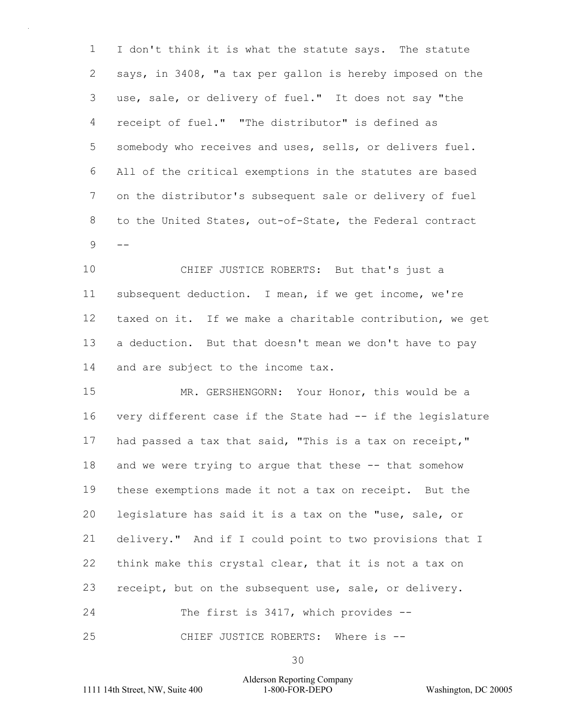1 2 3 4 5 6 7 8  $9 - -$ I don't think it is what the statute says. The statute says, in 3408, "a tax per gallon is hereby imposed on the use, sale, or delivery of fuel." It does not say "the receipt of fuel." "The distributor" is defined as somebody who receives and uses, sells, or delivers fuel. All of the critical exemptions in the statutes are based on the distributor's subsequent sale or delivery of fuel to the United States, out-of-State, the Federal contract

10 11 12 13 14 CHIEF JUSTICE ROBERTS: But that's just a subsequent deduction. I mean, if we get income, we're taxed on it. If we make a charitable contribution, we get a deduction. But that doesn't mean we don't have to pay and are subject to the income tax.

15 16 17 18 19 20 21 22 23 24 25 MR. GERSHENGORN: Your Honor, this would be a very different case if the State had -- if the legislature had passed a tax that said, "This is a tax on receipt," and we were trying to argue that these -- that somehow these exemptions made it not a tax on receipt. But the legislature has said it is a tax on the "use, sale, or delivery." And if I could point to two provisions that I think make this crystal clear, that it is not a tax on receipt, but on the subsequent use, sale, or delivery. The first is 3417, which provides --CHIEF JUSTICE ROBERTS: Where is --

30

Alderson Reporting Company 1111 14th Street, NW, Suite 400 1-800-FOR-DEPO Washington, DC 20005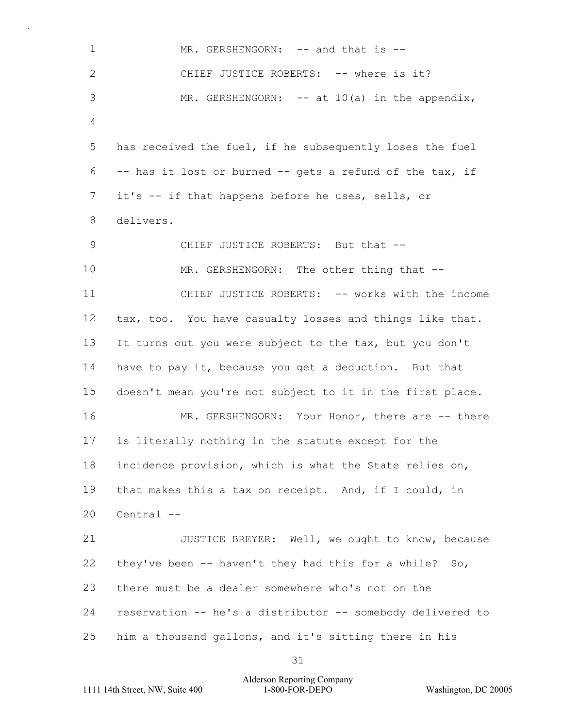1  $\mathcal{P}$ 3 4 5 6 7 8 9 10 11 12 13 14 15 16 17 18 19 20 21 22 23 24 25 MR. GERSHENGORN: -- and that is --CHIEF JUSTICE ROBERTS: -- where is it? MR. GERSHENGORN:  $-$  at 10(a) in the appendix, has received the fuel, if he subsequently loses the fuel -- has it lost or burned -- gets a refund of the tax, if it's -- if that happens before he uses, sells, or delivers. CHIEF JUSTICE ROBERTS: But that -- MR. GERSHENGORN: The other thing that --CHIEF JUSTICE ROBERTS: -- works with the income tax, too. You have casualty losses and things like that. It turns out you were subject to the tax, but you don't have to pay it, because you get a deduction. But that doesn't mean you're not subject to it in the first place. MR. GERSHENGORN: Your Honor, there are -- there is literally nothing in the statute except for the incidence provision, which is what the State relies on, that makes this a tax on receipt. And, if I could, in Central -- JUSTICE BREYER: Well, we ought to know, because they've been -- haven't they had this for a while? So, there must be a dealer somewhere who's not on the reservation -- he's a distributor -- somebody delivered to him a thousand gallons, and it's sitting there in his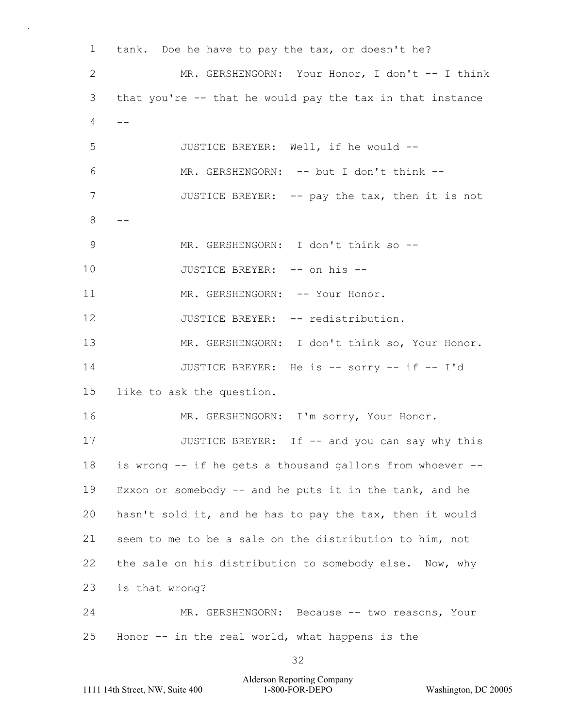1  $\mathcal{P}$ 3  $4 - -$ 5 6 7  $8 - -$ 9 10 11 12 13 14 15 16 17 18 19 20 21 22 23 24 25 tank. Doe he have to pay the tax, or doesn't he? MR. GERSHENGORN: Your Honor, I don't -- I think that you're -- that he would pay the tax in that instance JUSTICE BREYER: Well, if he would -- MR. GERSHENGORN: -- but I don't think --JUSTICE BREYER: -- pay the tax, then it is not MR. GERSHENGORN: I don't think so --JUSTICE BREYER: -- on his -- MR. GERSHENGORN: -- Your Honor. JUSTICE BREYER: -- redistribution. MR. GERSHENGORN: I don't think so, Your Honor. JUSTICE BREYER: He is -- sorry -- if -- I'd like to ask the question. MR. GERSHENGORN: I'm sorry, Your Honor. JUSTICE BREYER: If -- and you can say why this is wrong -- if he gets a thousand gallons from whoever -- Exxon or somebody  $--$  and he puts it in the tank, and he hasn't sold it, and he has to pay the tax, then it would seem to me to be a sale on the distribution to him, not the sale on his distribution to somebody else. Now, why is that wrong? MR. GERSHENGORN: Because -- two reasons, Your Honor -- in the real world, what happens is the

32

## Alderson Reporting Company 1111 14th Street, NW, Suite 400 1-800-FOR-DEPO Washington, DC 20005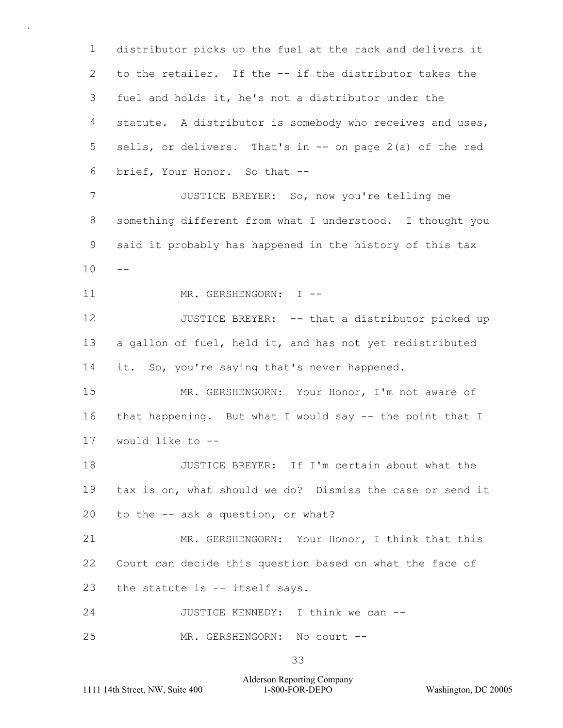1  $\mathcal{P}$ 3 4 5 6 7 8 9  $10 - -$ 11 12 13 14 15 16 17 18 19 20 21 22 23 24 25 distributor picks up the fuel at the rack and delivers it to the retailer. If the -- if the distributor takes the fuel and holds it, he's not a distributor under the statute. A distributor is somebody who receives and uses, sells, or delivers. That's in -- on page 2(a) of the red brief, Your Honor. So that -- JUSTICE BREYER: So, now you're telling me something different from what I understood. I thought you said it probably has happened in the history of this tax MR. GERSHENGORN: I -- JUSTICE BREYER: -- that a distributor picked up a gallon of fuel, held it, and has not yet redistributed it. So, you're saying that's never happened. MR. GERSHENGORN: Your Honor, I'm not aware of that happening. But what I would say -- the point that I would like to -- JUSTICE BREYER: If I'm certain about what the tax is on, what should we do? Dismiss the case or send it to the -- ask a question, or what? MR. GERSHENGORN: Your Honor, I think that this Court can decide this question based on what the face of the statute is -- itself says. JUSTICE KENNEDY: I think we can -- MR. GERSHENGORN: No court --

Alderson Reporting Company 1111 14th Street, NW, Suite 400 1-800-FOR-DEPO Washington, DC 20005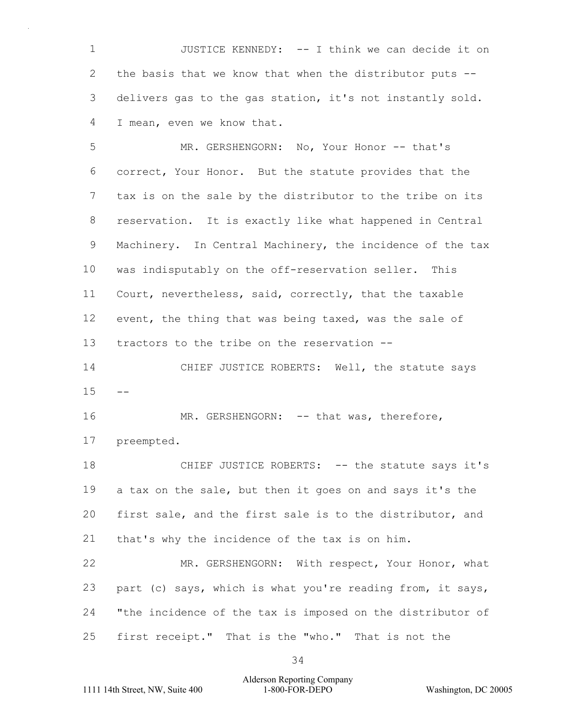1  $\mathcal{P}$ 3 4 JUSTICE KENNEDY: -- I think we can decide it on the basis that we know that when the distributor puts - delivers gas to the gas station, it's not instantly sold. I mean, even we know that.

5 6 7 8 9 10 11 12 13 MR. GERSHENGORN: No, Your Honor -- that's correct, Your Honor. But the statute provides that the tax is on the sale by the distributor to the tribe on its reservation. It is exactly like what happened in Central Machinery. In Central Machinery, the incidence of the tax was indisputably on the off-reservation seller. This Court, nevertheless, said, correctly, that the taxable event, the thing that was being taxed, was the sale of tractors to the tribe on the reservation --

14  $15 - -$ CHIEF JUSTICE ROBERTS: Well, the statute says

16 17 MR. GERSHENGORN: -- that was, therefore, preempted.

18 19 20 21 CHIEF JUSTICE ROBERTS: -- the statute says it's a tax on the sale, but then it goes on and says it's the first sale, and the first sale is to the distributor, and that's why the incidence of the tax is on him.

22 23 24 25 MR. GERSHENGORN: With respect, Your Honor, what part (c) says, which is what you're reading from, it says, "the incidence of the tax is imposed on the distributor of first receipt." That is the "who." That is not the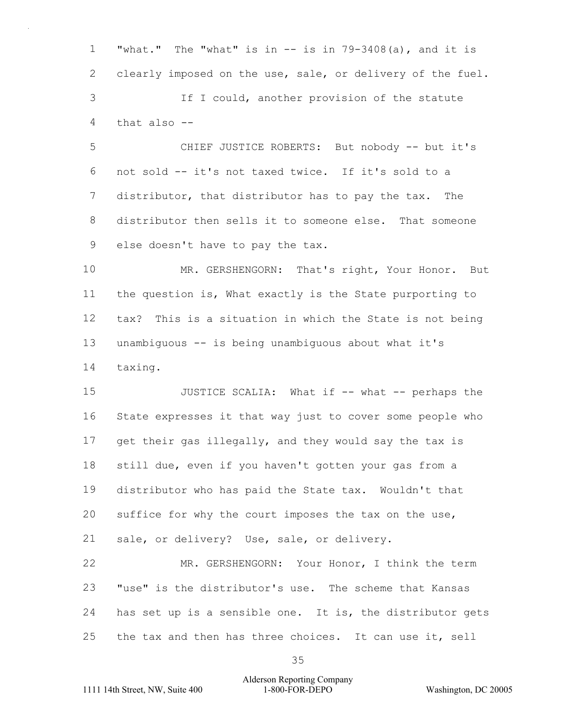1  $\mathcal{P}$ 3 4 "what." The "what" is in  $--$  is in  $79-3408(a)$ , and it is clearly imposed on the use, sale, or delivery of the fuel. If I could, another provision of the statute that also --

5 6 7 8 9 CHIEF JUSTICE ROBERTS: But nobody -- but it's not sold -- it's not taxed twice. If it's sold to a distributor, that distributor has to pay the tax. The distributor then sells it to someone else. That someone else doesn't have to pay the tax.

10 11 12 13 14 MR. GERSHENGORN: That's right, Your Honor. But the question is, What exactly is the State purporting to tax? This is a situation in which the State is not being unambiguous -- is being unambiguous about what it's taxing.

15 16 17 18 19 20 21 JUSTICE SCALIA: What if -- what -- perhaps the State expresses it that way just to cover some people who get their gas illegally, and they would say the tax is still due, even if you haven't gotten your gas from a distributor who has paid the State tax. Wouldn't that suffice for why the court imposes the tax on the use, sale, or delivery? Use, sale, or delivery.

22 23 24 25 MR. GERSHENGORN: Your Honor, I think the term "use" is the distributor's use. The scheme that Kansas has set up is a sensible one. It is, the distributor gets the tax and then has three choices. It can use it, sell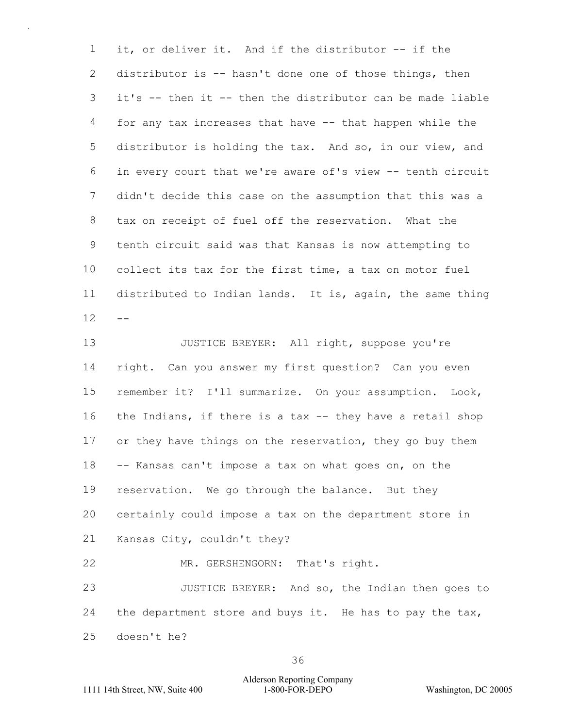1  $\mathcal{P}$ 3 4 5 6 7 8 9 10 11  $12 -$ it, or deliver it. And if the distributor -- if the distributor is -- hasn't done one of those things, then it's -- then it -- then the distributor can be made liable for any tax increases that have -- that happen while the distributor is holding the tax. And so, in our view, and in every court that we're aware of's view -- tenth circuit didn't decide this case on the assumption that this was a tax on receipt of fuel off the reservation. What the tenth circuit said was that Kansas is now attempting to collect its tax for the first time, a tax on motor fuel distributed to Indian lands. It is, again, the same thing

13 14 15 16 17 18 19 20 21 22 23 24 25 JUSTICE BREYER: All right, suppose you're right. Can you answer my first question? Can you even remember it? I'll summarize. On your assumption. Look, the Indians, if there is a tax -- they have a retail shop or they have things on the reservation, they go buy them -- Kansas can't impose a tax on what goes on, on the reservation. We go through the balance. But they certainly could impose a tax on the department store in Kansas City, couldn't they? MR. GERSHENGORN: That's right. JUSTICE BREYER: And so, the Indian then goes to the department store and buys it. He has to pay the tax, doesn't he?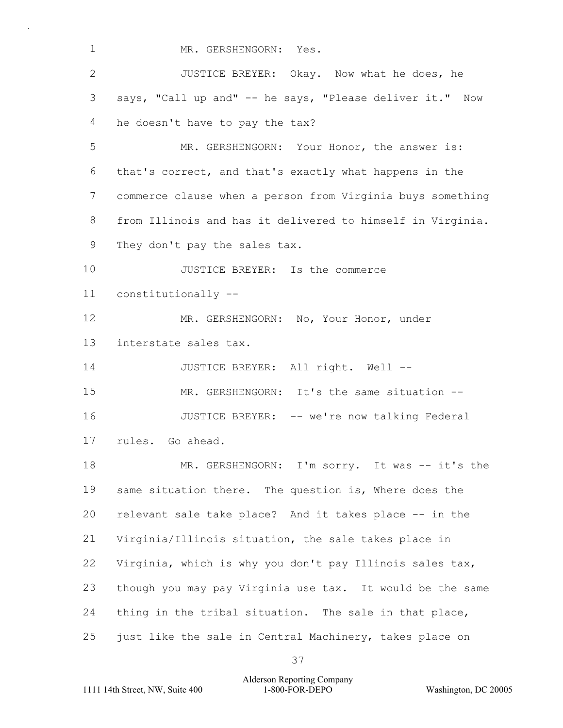1 MR. GERSHENGORN: Yes.

 $\mathcal{P}$ 3 4 JUSTICE BREYER: Okay. Now what he does, he says, "Call up and" -- he says, "Please deliver it." Now he doesn't have to pay the tax?

5 6 7 8 9 MR. GERSHENGORN: Your Honor, the answer is: that's correct, and that's exactly what happens in the commerce clause when a person from Virginia buys something from Illinois and has it delivered to himself in Virginia. They don't pay the sales tax.

10 11 JUSTICE BREYER: Is the commerce constitutionally --

12 13 MR. GERSHENGORN: No, Your Honor, under interstate sales tax.

14 JUSTICE BREYER: All right. Well --

15 16 MR. GERSHENGORN: It's the same situation --JUSTICE BREYER: -- we're now talking Federal

17 rules. Go ahead.

18 19 20 21 22 23 24 25 MR. GERSHENGORN: I'm sorry. It was -- it's the same situation there. The question is, Where does the relevant sale take place? And it takes place -- in the Virginia/Illinois situation, the sale takes place in Virginia, which is why you don't pay Illinois sales tax, though you may pay Virginia use tax. It would be the same thing in the tribal situation. The sale in that place, just like the sale in Central Machinery, takes place on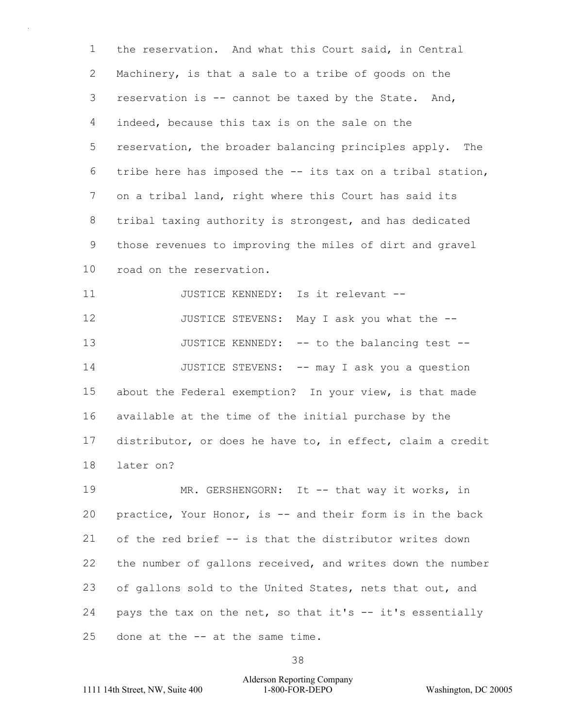1 2 3 4 5 6 7 8 9 10 the reservation. And what this Court said, in Central Machinery, is that a sale to a tribe of goods on the reservation is -- cannot be taxed by the State. And, indeed, because this tax is on the sale on the reservation, the broader balancing principles apply. The tribe here has imposed the -- its tax on a tribal station, on a tribal land, right where this Court has said its tribal taxing authority is strongest, and has dedicated those revenues to improving the miles of dirt and gravel road on the reservation.

11 12 13 14 15 16 17 18 JUSTICE KENNEDY: Is it relevant -- JUSTICE STEVENS: May I ask you what the -- JUSTICE KENNEDY: -- to the balancing test --JUSTICE STEVENS: -- may I ask you a question about the Federal exemption? In your view, is that made available at the time of the initial purchase by the distributor, or does he have to, in effect, claim a credit later on?

19 20 21 22 23 24 25 MR. GERSHENGORN: It -- that way it works, in practice, Your Honor, is -- and their form is in the back of the red brief -- is that the distributor writes down the number of gallons received, and writes down the number of gallons sold to the United States, nets that out, and pays the tax on the net, so that it's -- it's essentially done at the -- at the same time.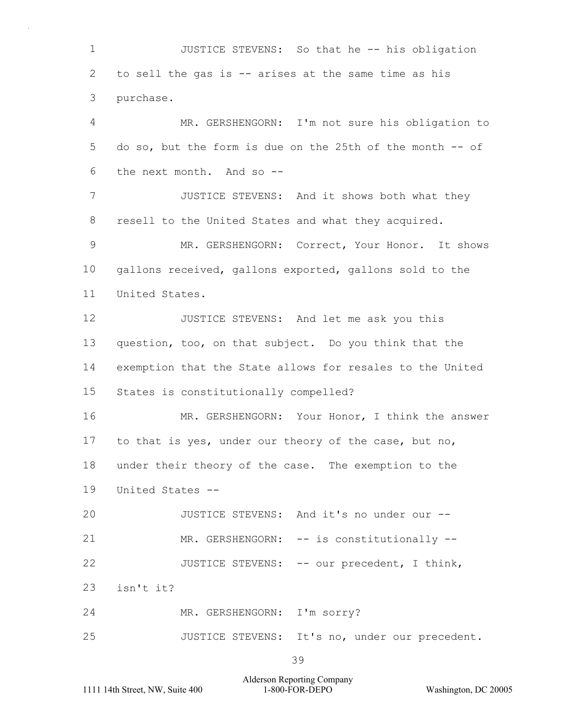1  $\mathcal{P}$ 3 4 5 6 7 8 9 10 11 12 13 14 15 16 JUSTICE STEVENS: So that he -- his obligation to sell the gas is -- arises at the same time as his purchase. MR. GERSHENGORN: I'm not sure his obligation to do so, but the form is due on the 25th of the month -- of the next month. And so -- JUSTICE STEVENS: And it shows both what they resell to the United States and what they acquired. MR. GERSHENGORN: Correct, Your Honor. It shows gallons received, gallons exported, gallons sold to the United States. JUSTICE STEVENS: And let me ask you this question, too, on that subject. Do you think that the exemption that the State allows for resales to the United States is constitutionally compelled? MR. GERSHENGORN: Your Honor, I think the answer

18 under their theory of the case. The exemption to the

to that is yes, under our theory of the case, but no,

19 United States --

20 21 22 JUSTICE STEVENS: And it's no under our -- MR. GERSHENGORN: -- is constitutionally --JUSTICE STEVENS: -- our precedent, I think,

23 isn't it?

17

24 MR. GERSHENGORN: I'm sorry?

25 JUSTICE STEVENS: It's no, under our precedent.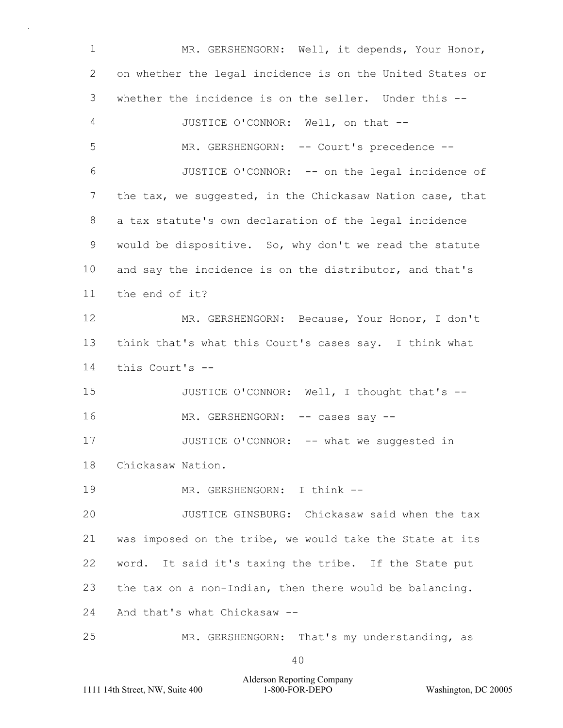1  $\mathcal{P}$ 3 4 5 6 7 8 9 10 11 12 13 14 15 16 17 18 19 20 21 22 23 24 25 MR. GERSHENGORN: Well, it depends, Your Honor, on whether the legal incidence is on the United States or whether the incidence is on the seller. Under this --JUSTICE O'CONNOR: Well, on that -- MR. GERSHENGORN: -- Court's precedence --JUSTICE O'CONNOR: -- on the legal incidence of the tax, we suggested, in the Chickasaw Nation case, that a tax statute's own declaration of the legal incidence would be dispositive. So, why don't we read the statute and say the incidence is on the distributor, and that's the end of it? MR. GERSHENGORN: Because, Your Honor, I don't think that's what this Court's cases say. I think what this Court's -- JUSTICE O'CONNOR: Well, I thought that's -- MR. GERSHENGORN: -- cases say --JUSTICE O'CONNOR: -- what we suggested in Chickasaw Nation. MR. GERSHENGORN: I think --JUSTICE GINSBURG: Chickasaw said when the tax was imposed on the tribe, we would take the State at its word. It said it's taxing the tribe. If the State put the tax on a non-Indian, then there would be balancing. And that's what Chickasaw -- MR. GERSHENGORN: That's my understanding, as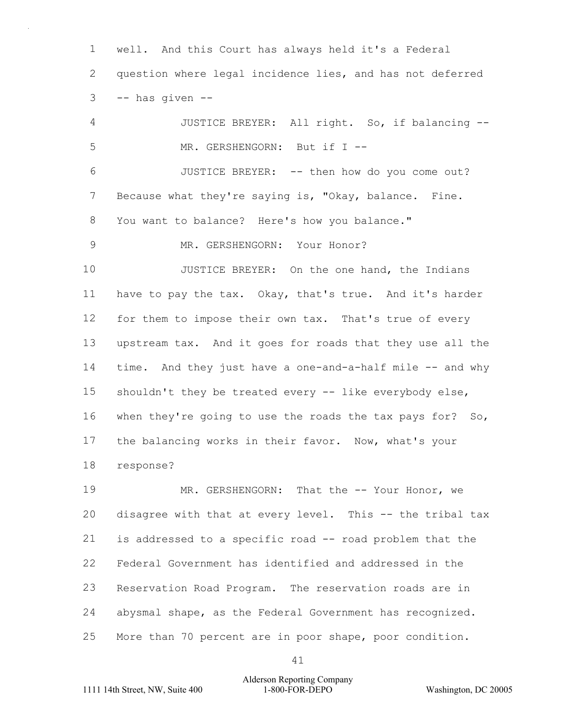1  $\mathcal{P}$ 3 well. And this Court has always held it's a Federal question where legal incidence lies, and has not deferred -- has given --

4 5 6 7 8 9 10 11 12 13 14 15 16 17 18 19 JUSTICE BREYER: All right. So, if balancing -- MR. GERSHENGORN: But if I --JUSTICE BREYER: -- then how do you come out? Because what they're saying is, "Okay, balance. Fine. You want to balance? Here's how you balance." MR. GERSHENGORN: Your Honor? JUSTICE BREYER: On the one hand, the Indians have to pay the tax. Okay, that's true. And it's harder for them to impose their own tax. That's true of every upstream tax. And it goes for roads that they use all the time. And they just have a one-and-a-half mile -- and why shouldn't they be treated every -- like everybody else, when they're going to use the roads the tax pays for? So, the balancing works in their favor. Now, what's your response? MR. GERSHENGORN: That the -- Your Honor, we

20 21 22 23 24 25 disagree with that at every level. This -- the tribal tax is addressed to a specific road -- road problem that the Federal Government has identified and addressed in the Reservation Road Program. The reservation roads are in abysmal shape, as the Federal Government has recognized. More than 70 percent are in poor shape, poor condition.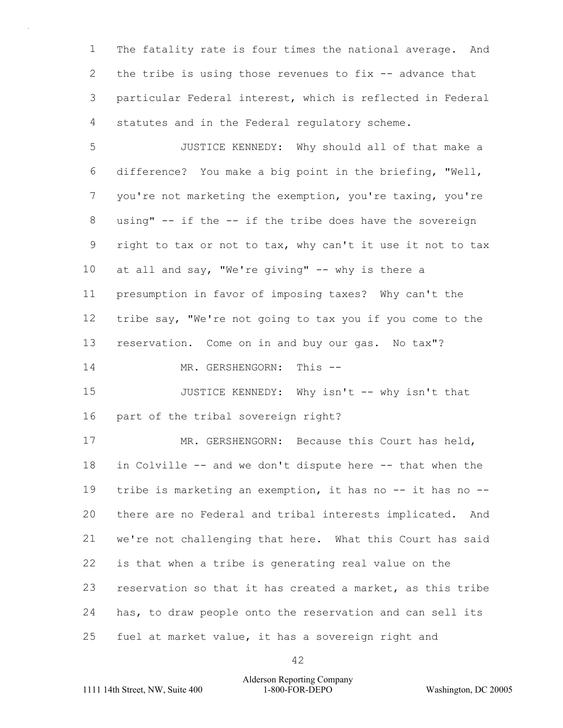1 2 3 4 The fatality rate is four times the national average. And the tribe is using those revenues to fix  $-$  advance that particular Federal interest, which is reflected in Federal statutes and in the Federal regulatory scheme.

5 6 7 8 9 10 11 12 13 JUSTICE KENNEDY: Why should all of that make a difference? You make a big point in the briefing, "Well, you're not marketing the exemption, you're taxing, you're using" -- if the -- if the tribe does have the sovereign right to tax or not to tax, why can't it use it not to tax at all and say, "We're giving" -- why is there a presumption in favor of imposing taxes? Why can't the tribe say, "We're not going to tax you if you come to the reservation. Come on in and buy our gas. No tax"?

14 MR. GERSHENGORN: This --

15 16 JUSTICE KENNEDY: Why isn't -- why isn't that part of the tribal sovereign right?

17 18 19 20 21 22 23 24 25 MR. GERSHENGORN: Because this Court has held, in Colville -- and we don't dispute here -- that when the tribe is marketing an exemption, it has no -- it has no - there are no Federal and tribal interests implicated. And we're not challenging that here. What this Court has said is that when a tribe is generating real value on the reservation so that it has created a market, as this tribe has, to draw people onto the reservation and can sell its fuel at market value, it has a sovereign right and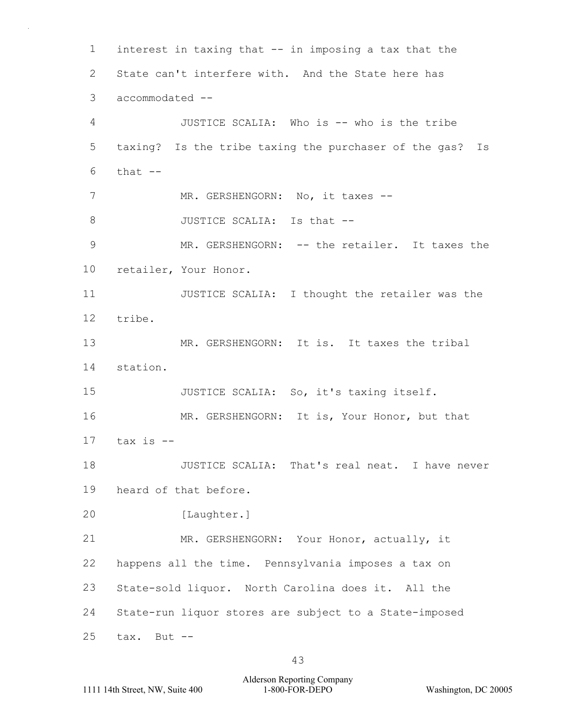1  $\mathcal{P}$ 3 4 5 6 7 8 9 10 11 12 13 14 15 16 17 18 19 20 21 22 23 24 25 interest in taxing that -- in imposing a tax that the State can't interfere with. And the State here has accommodated -- JUSTICE SCALIA: Who is -- who is the tribe taxing? Is the tribe taxing the purchaser of the gas? Is that  $--$ MR. GERSHENGORN: No, it taxes --JUSTICE SCALIA: Is that -- MR. GERSHENGORN: -- the retailer. It taxes the retailer, Your Honor. JUSTICE SCALIA: I thought the retailer was the tribe. MR. GERSHENGORN: It is. It taxes the tribal station. JUSTICE SCALIA: So, it's taxing itself. MR. GERSHENGORN: It is, Your Honor, but that tax is -- JUSTICE SCALIA: That's real neat. I have never heard of that before. [Laughter.] MR. GERSHENGORN: Your Honor, actually, it happens all the time. Pennsylvania imposes a tax on State-sold liquor. North Carolina does it. All the State-run liquor stores are subject to a State-imposed tax. But --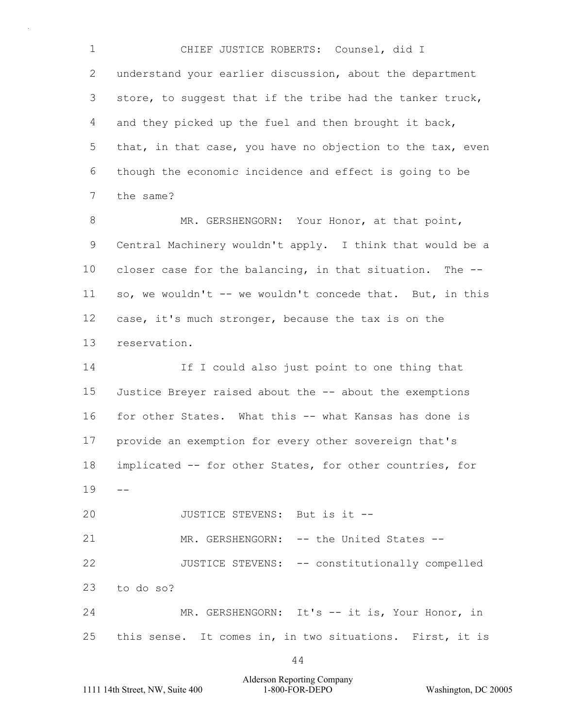1 2 3 4 5 6 7 CHIEF JUSTICE ROBERTS: Counsel, did I understand your earlier discussion, about the department store, to suggest that if the tribe had the tanker truck, and they picked up the fuel and then brought it back, that, in that case, you have no objection to the tax, even though the economic incidence and effect is going to be the same?

8 9 10 11 12 13 MR. GERSHENGORN: Your Honor, at that point, Central Machinery wouldn't apply. I think that would be a closer case for the balancing, in that situation. The - so, we wouldn't -- we wouldn't concede that. But, in this case, it's much stronger, because the tax is on the reservation.

14 15 16 17 18  $19 - -$ 20 21 If I could also just point to one thing that Justice Breyer raised about the -- about the exemptions for other States. What this -- what Kansas has done is provide an exemption for every other sovereign that's implicated -- for other States, for other countries, for JUSTICE STEVENS: But is it -- MR. GERSHENGORN: -- the United States --

22 23 JUSTICE STEVENS: -- constitutionally compelled to do so?

24 25 MR. GERSHENGORN: It's -- it is, Your Honor, in this sense. It comes in, in two situations. First, it is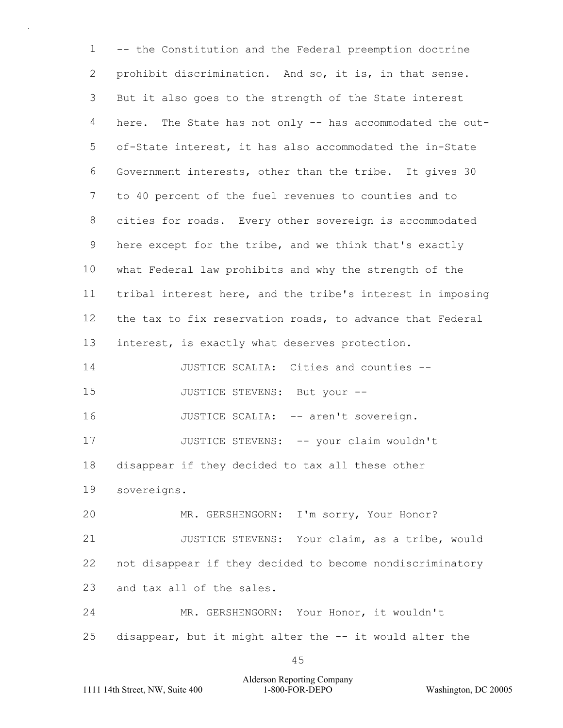1  $\mathcal{P}$ 3 4 5 6 7 8 9 10 11 12 13 14 15 16 17 18 19 20 21 22 23 24 25 -- the Constitution and the Federal preemption doctrine prohibit discrimination. And so, it is, in that sense. But it also goes to the strength of the State interest here. The State has not only -- has accommodated the outof-State interest, it has also accommodated the in-State Government interests, other than the tribe. It gives 30 to 40 percent of the fuel revenues to counties and to cities for roads. Every other sovereign is accommodated here except for the tribe, and we think that's exactly what Federal law prohibits and why the strength of the tribal interest here, and the tribe's interest in imposing the tax to fix reservation roads, to advance that Federal interest, is exactly what deserves protection. JUSTICE SCALIA: Cities and counties -- JUSTICE STEVENS: But your -- JUSTICE SCALIA: -- aren't sovereign. JUSTICE STEVENS: -- your claim wouldn't disappear if they decided to tax all these other sovereigns. MR. GERSHENGORN: I'm sorry, Your Honor? JUSTICE STEVENS: Your claim, as a tribe, would not disappear if they decided to become nondiscriminatory and tax all of the sales. MR. GERSHENGORN: Your Honor, it wouldn't disappear, but it might alter the -- it would alter the

Alderson Reporting Company 1111 14th Street, NW, Suite 400 1-800-FOR-DEPO Washington, DC 20005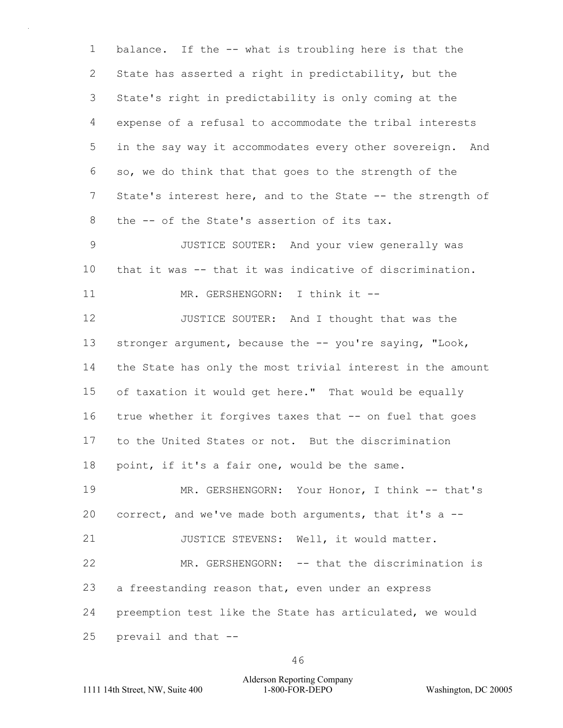1  $\mathcal{P}$ 3 4 5 6 7 8 9 10 11 12 13 14 15 16 17 18 19 20 21 22 23 24 balance. If the -- what is troubling here is that the State has asserted a right in predictability, but the State's right in predictability is only coming at the expense of a refusal to accommodate the tribal interests in the say way it accommodates every other sovereign. And so, we do think that that goes to the strength of the State's interest here, and to the State -- the strength of the -- of the State's assertion of its tax. JUSTICE SOUTER: And your view generally was that it was -- that it was indicative of discrimination. MR. GERSHENGORN: I think it --JUSTICE SOUTER: And I thought that was the stronger argument, because the -- you're saying, "Look, the State has only the most trivial interest in the amount of taxation it would get here." That would be equally true whether it forgives taxes that -- on fuel that goes to the United States or not. But the discrimination point, if it's a fair one, would be the same. MR. GERSHENGORN: Your Honor, I think -- that's correct, and we've made both arguments, that it's a -- JUSTICE STEVENS: Well, it would matter. MR. GERSHENGORN: -- that the discrimination is a freestanding reason that, even under an express preemption test like the State has articulated, we would

25 prevail and that --

46

### Alderson Reporting Company 1111 14th Street, NW, Suite 400 1-800-FOR-DEPO Washington, DC 20005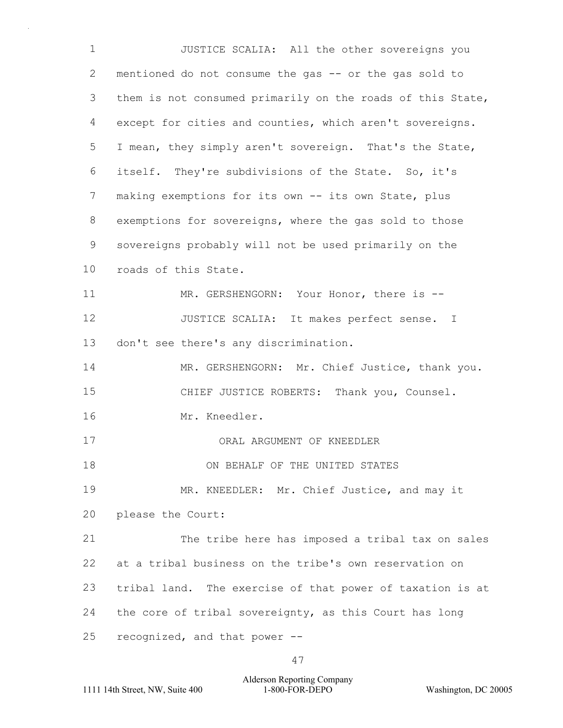1 2 3 4 5 6 7 8 9 10 11 12 13 14 15 16 17 18 19 20 21 22 23 24 25 JUSTICE SCALIA: All the other sovereigns you mentioned do not consume the gas -- or the gas sold to them is not consumed primarily on the roads of this State, except for cities and counties, which aren't sovereigns. I mean, they simply aren't sovereign. That's the State, itself. They're subdivisions of the State. So, it's making exemptions for its own -- its own State, plus exemptions for sovereigns, where the gas sold to those sovereigns probably will not be used primarily on the roads of this State. MR. GERSHENGORN: Your Honor, there is --JUSTICE SCALIA: It makes perfect sense. I don't see there's any discrimination. MR. GERSHENGORN: Mr. Chief Justice, thank you. CHIEF JUSTICE ROBERTS: Thank you, Counsel. Mr. Kneedler. ORAL ARGUMENT OF KNEEDLER ON BEHALF OF THE UNITED STATES MR. KNEEDLER: Mr. Chief Justice, and may it please the Court: The tribe here has imposed a tribal tax on sales at a tribal business on the tribe's own reservation on tribal land. The exercise of that power of taxation is at the core of tribal sovereignty, as this Court has long recognized, and that power --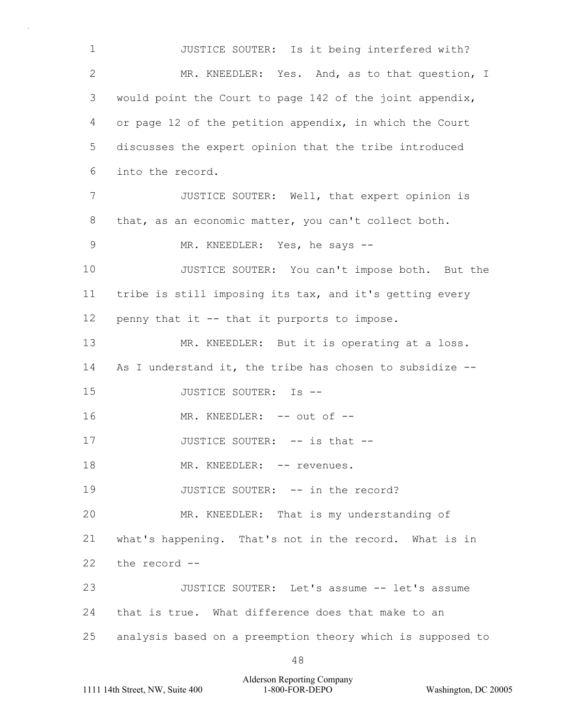1  $\mathcal{P}$ 3 4 5 6 7 8 9 10 11 12 13 14 15 16 17 18 19 20 21 22 23 24 25 JUSTICE SOUTER: Is it being interfered with? MR. KNEEDLER: Yes. And, as to that question, I would point the Court to page 142 of the joint appendix, or page 12 of the petition appendix, in which the Court discusses the expert opinion that the tribe introduced into the record. JUSTICE SOUTER: Well, that expert opinion is that, as an economic matter, you can't collect both. MR. KNEEDLER: Yes, he says --JUSTICE SOUTER: You can't impose both. But the tribe is still imposing its tax, and it's getting every penny that it -- that it purports to impose. MR. KNEEDLER: But it is operating at a loss. As I understand it, the tribe has chosen to subsidize -- JUSTICE SOUTER: Is -- MR. KNEEDLER: -- out of --JUSTICE SOUTER: -- is that --MR. KNEEDLER: -- revenues. JUSTICE SOUTER: -- in the record? MR. KNEEDLER: That is my understanding of what's happening. That's not in the record. What is in the record -- JUSTICE SOUTER: Let's assume -- let's assume that is true. What difference does that make to an analysis based on a preemption theory which is supposed to

Alderson Reporting Company 1111 14th Street, NW, Suite 400 1-800-FOR-DEPO Washington, DC 20005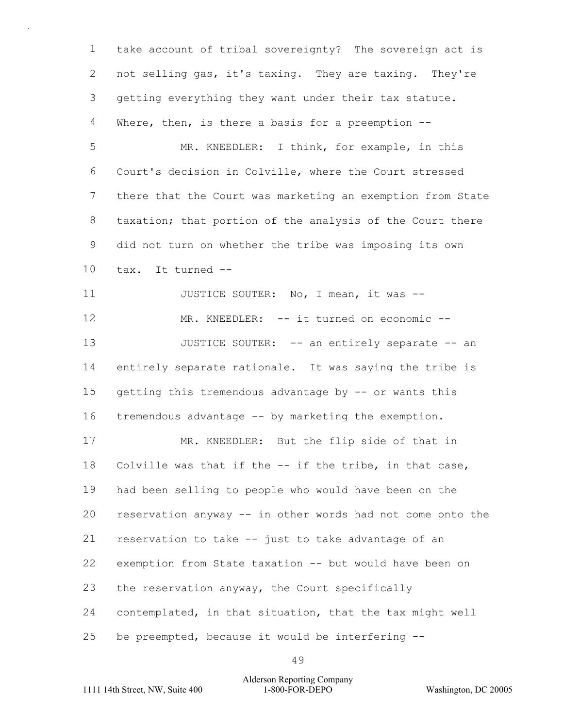1 2 3 4 take account of tribal sovereignty? The sovereign act is not selling gas, it's taxing. They are taxing. They're getting everything they want under their tax statute. Where, then, is there a basis for a preemption --

5 6 7 8 9 10 MR. KNEEDLER: I think, for example, in this Court's decision in Colville, where the Court stressed there that the Court was marketing an exemption from State taxation; that portion of the analysis of the Court there did not turn on whether the tribe was imposing its own tax. It turned --

11 12 13 14 15 16 JUSTICE SOUTER: No, I mean, it was -- MR. KNEEDLER: -- it turned on economic --JUSTICE SOUTER: -- an entirely separate -- an entirely separate rationale. It was saying the tribe is getting this tremendous advantage by -- or wants this tremendous advantage -- by marketing the exemption.

17 18 19 20 21 22 23 24 25 MR. KNEEDLER: But the flip side of that in Colville was that if the -- if the tribe, in that case, had been selling to people who would have been on the reservation anyway -- in other words had not come onto the reservation to take -- just to take advantage of an exemption from State taxation -- but would have been on the reservation anyway, the Court specifically contemplated, in that situation, that the tax might well be preempted, because it would be interfering --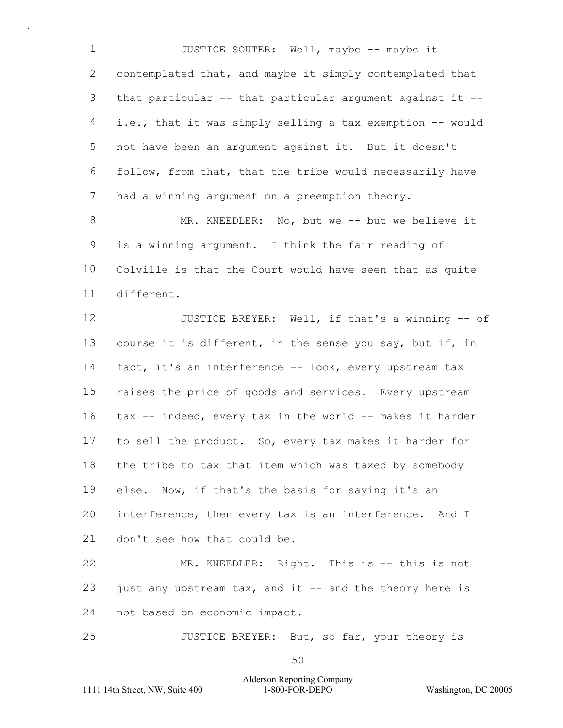1 2 3 4 5 6 7 JUSTICE SOUTER: Well, maybe -- maybe it contemplated that, and maybe it simply contemplated that that particular -- that particular argument against it - i.e., that it was simply selling a tax exemption -- would not have been an argument against it. But it doesn't follow, from that, that the tribe would necessarily have had a winning argument on a preemption theory.

8 9 10 11 MR. KNEEDLER: No, but we -- but we believe it is a winning argument. I think the fair reading of Colville is that the Court would have seen that as quite different.

12 13 14 15 16 17 18 19 20 21 JUSTICE BREYER: Well, if that's a winning -- of course it is different, in the sense you say, but if, in fact, it's an interference -- look, every upstream tax raises the price of goods and services. Every upstream tax -- indeed, every tax in the world -- makes it harder to sell the product. So, every tax makes it harder for the tribe to tax that item which was taxed by somebody else. Now, if that's the basis for saying it's an interference, then every tax is an interference. And I don't see how that could be.

22 23 24 MR. KNEEDLER: Right. This is -- this is not just any upstream tax, and it -- and the theory here is not based on economic impact.

25 JUSTICE BREYER: But, so far, your theory is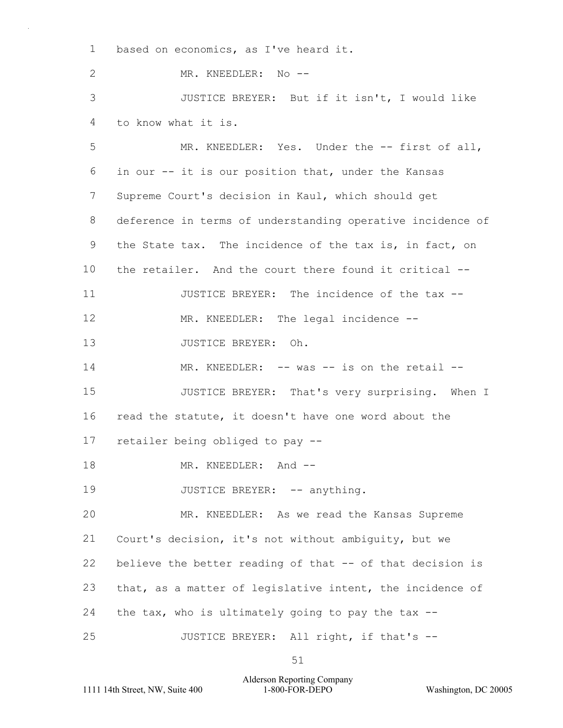1 based on economics, as I've heard it.

 $\mathfrak{D}$ MR. KNEEDLER: No --

3 4 JUSTICE BREYER: But if it isn't, I would like to know what it is.

5 6 7 8 9 10 11 12 13 14 15 16 17 18 MR. KNEEDLER: Yes. Under the -- first of all, in our -- it is our position that, under the Kansas Supreme Court's decision in Kaul, which should get deference in terms of understanding operative incidence of the State tax. The incidence of the tax is, in fact, on the retailer. And the court there found it critical -- JUSTICE BREYER: The incidence of the tax -- MR. KNEEDLER: The legal incidence --JUSTICE BREYER: Oh. MR. KNEEDLER: -- was -- is on the retail --JUSTICE BREYER: That's very surprising. When I read the statute, it doesn't have one word about the retailer being obliged to pay -- MR. KNEEDLER: And --

19 JUSTICE BREYER: -- anything.

20 21 22 23 24 25 MR. KNEEDLER: As we read the Kansas Supreme Court's decision, it's not without ambiguity, but we believe the better reading of that -- of that decision is that, as a matter of legislative intent, the incidence of the tax, who is ultimately going to pay the tax  $-$ JUSTICE BREYER: All right, if that's --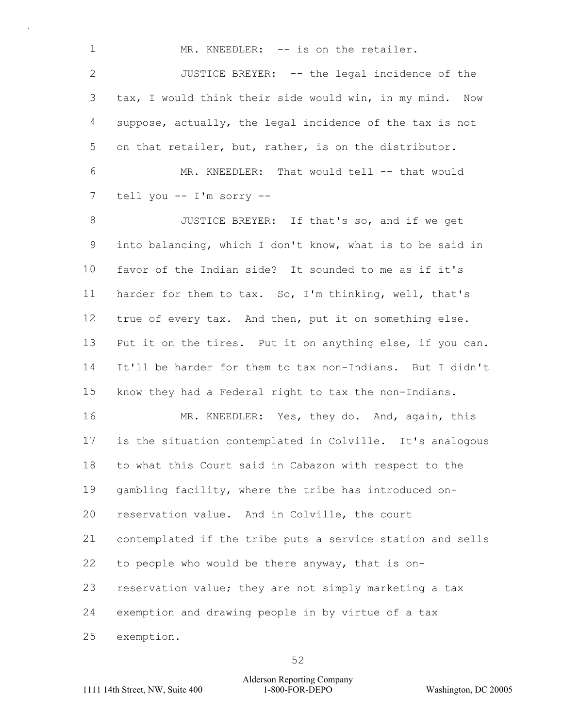MR. KNEEDLER: -- is on the retailer.

 $\mathcal{P}$ 3 4 5 6 JUSTICE BREYER: -- the legal incidence of the tax, I would think their side would win, in my mind. Now suppose, actually, the legal incidence of the tax is not on that retailer, but, rather, is on the distributor. MR. KNEEDLER: That would tell -- that would

7 tell you -- I'm sorry --

1

8 9 10 11 12 13 14 15 JUSTICE BREYER: If that's so, and if we get into balancing, which I don't know, what is to be said in favor of the Indian side? It sounded to me as if it's harder for them to tax. So, I'm thinking, well, that's true of every tax. And then, put it on something else. Put it on the tires. Put it on anything else, if you can. It'll be harder for them to tax non-Indians. But I didn't know they had a Federal right to tax the non-Indians.

16 17 18 19 20 21 22 23 24 25 MR. KNEEDLER: Yes, they do. And, again, this is the situation contemplated in Colville. It's analogous to what this Court said in Cabazon with respect to the gambling facility, where the tribe has introduced onreservation value. And in Colville, the court contemplated if the tribe puts a service station and sells to people who would be there anyway, that is onreservation value; they are not simply marketing a tax exemption and drawing people in by virtue of a tax exemption.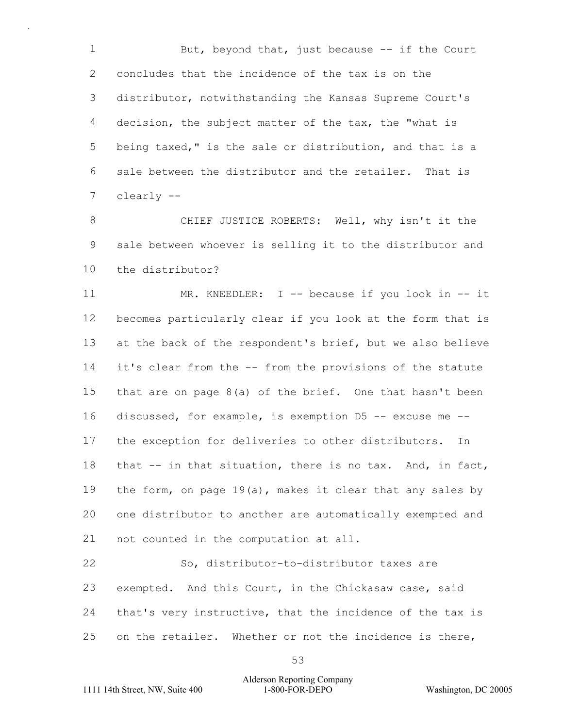1 2 3 4 5 6 7 But, beyond that, just because  $-$ - if the Court concludes that the incidence of the tax is on the distributor, notwithstanding the Kansas Supreme Court's decision, the subject matter of the tax, the "what is being taxed," is the sale or distribution, and that is a sale between the distributor and the retailer. That is clearly --

8 9 10 CHIEF JUSTICE ROBERTS: Well, why isn't it the sale between whoever is selling it to the distributor and the distributor?

11 12 13 14 15 16 17 18 19 20 21 MR. KNEEDLER: I -- because if you look in -- it becomes particularly clear if you look at the form that is at the back of the respondent's brief, but we also believe it's clear from the -- from the provisions of the statute that are on page  $8(a)$  of the brief. One that hasn't been discussed, for example, is exemption D5 -- excuse me - the exception for deliveries to other distributors. In that -- in that situation, there is no tax. And, in fact, the form, on page  $19(a)$ , makes it clear that any sales by one distributor to another are automatically exempted and not counted in the computation at all.

22 23 24 25 So, distributor-to-distributor taxes are exempted. And this Court, in the Chickasaw case, said that's very instructive, that the incidence of the tax is on the retailer. Whether or not the incidence is there,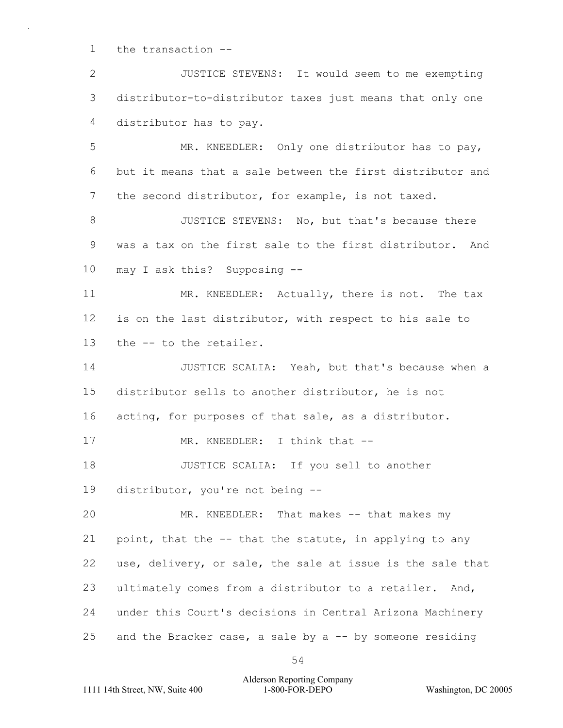1 the transaction --

 $\mathcal{P}$ 3 4 JUSTICE STEVENS: It would seem to me exempting distributor-to-distributor taxes just means that only one distributor has to pay.

5 6 7 MR. KNEEDLER: Only one distributor has to pay, but it means that a sale between the first distributor and the second distributor, for example, is not taxed.

8 9 10 JUSTICE STEVENS: No, but that's because there was a tax on the first sale to the first distributor. And may I ask this? Supposing --

11 12 13 MR. KNEEDLER: Actually, there is not. The tax is on the last distributor, with respect to his sale to the -- to the retailer.

14 15 16 17 JUSTICE SCALIA: Yeah, but that's because when a distributor sells to another distributor, he is not acting, for purposes of that sale, as a distributor. MR. KNEEDLER: I think that --

18 19 JUSTICE SCALIA: If you sell to another distributor, you're not being --

20 21 22 23 24 25 MR. KNEEDLER: That makes -- that makes my point, that the -- that the statute, in applying to any use, delivery, or sale, the sale at issue is the sale that ultimately comes from a distributor to a retailer. And, under this Court's decisions in Central Arizona Machinery and the Bracker case, a sale by a  $-$  by someone residing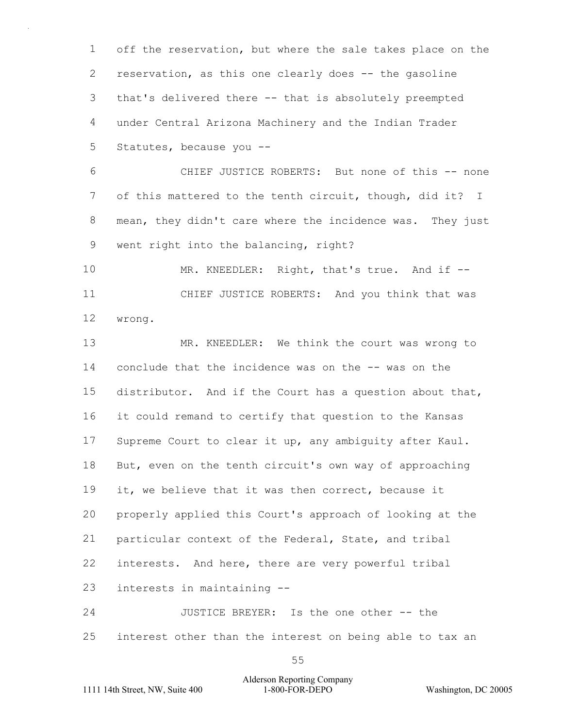1  $\mathcal{P}$ 3 4 5 off the reservation, but where the sale takes place on the reservation, as this one clearly does -- the gasoline that's delivered there -- that is absolutely preempted under Central Arizona Machinery and the Indian Trader Statutes, because you --

6 7 8 9 CHIEF JUSTICE ROBERTS: But none of this -- none of this mattered to the tenth circuit, though, did it? I mean, they didn't care where the incidence was. They just went right into the balancing, right?

10 11 12 MR. KNEEDLER: Right, that's true. And if --CHIEF JUSTICE ROBERTS: And you think that was wrong.

13 14 15 16 17 18 19 20 21 22 23 24 MR. KNEEDLER: We think the court was wrong to conclude that the incidence was on the -- was on the distributor. And if the Court has a question about that, it could remand to certify that question to the Kansas Supreme Court to clear it up, any ambiguity after Kaul. But, even on the tenth circuit's own way of approaching it, we believe that it was then correct, because it properly applied this Court's approach of looking at the particular context of the Federal, State, and tribal interests. And here, there are very powerful tribal interests in maintaining -- JUSTICE BREYER: Is the one other -- the

25 interest other than the interest on being able to tax an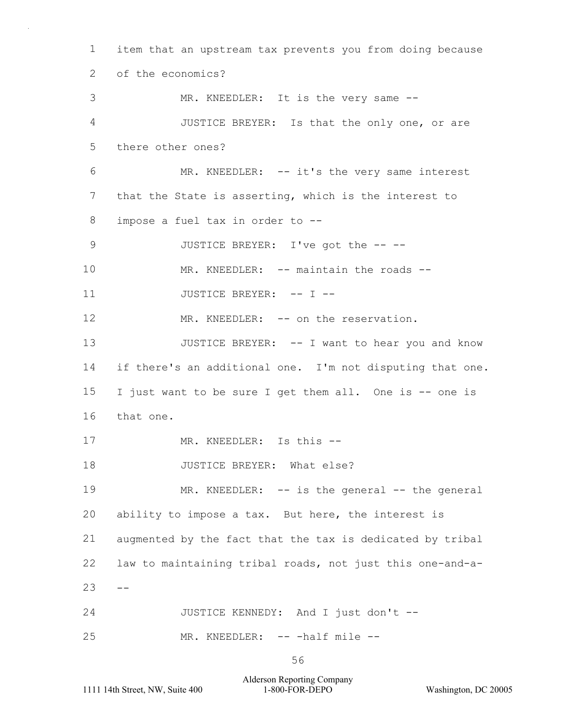1  $\mathcal{P}$ 3 4 5 6 7 8 9 10 11 12 13 14 15 16 17 18 19 20 21 22  $23 - -$ 24 25 item that an upstream tax prevents you from doing because of the economics? MR. KNEEDLER: It is the very same --JUSTICE BREYER: Is that the only one, or are there other ones? MR. KNEEDLER: -- it's the very same interest that the State is asserting, which is the interest to impose a fuel tax in order to -- JUSTICE BREYER: I've got the -- --MR. KNEEDLER: -- maintain the roads --JUSTICE BREYER: -- I --MR. KNEEDLER: -- on the reservation. JUSTICE BREYER: -- I want to hear you and know if there's an additional one. I'm not disputing that one. I just want to be sure I get them all. One is -- one is that one. MR. KNEEDLER: Is this --JUSTICE BREYER: What else? MR. KNEEDLER: -- is the general -- the general ability to impose a tax. But here, the interest is augmented by the fact that the tax is dedicated by tribal law to maintaining tribal roads, not just this one-and-a-JUSTICE KENNEDY: And I just don't -- MR. KNEEDLER: -- - half mile --

56

Alderson Reporting Company 1111 14th Street, NW, Suite 400 1-800-FOR-DEPO Washington, DC 20005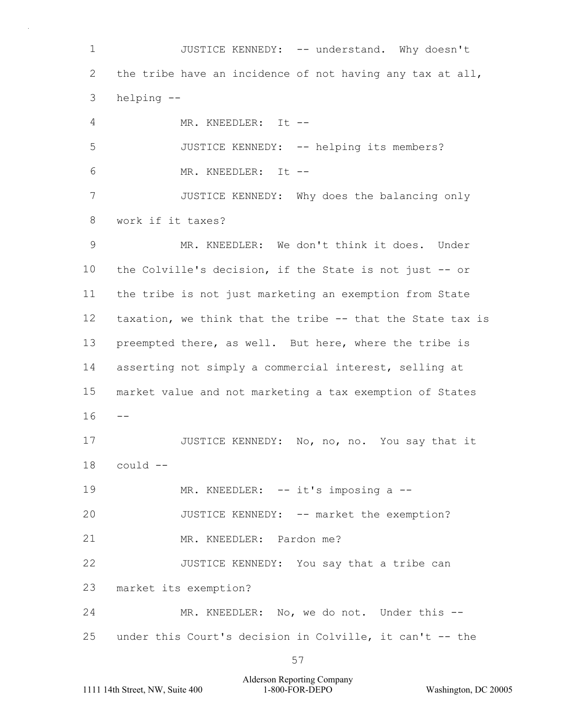1  $\mathcal{P}$ 3 4 5 6 7 8 9 10 11 12 13 14 15  $16 - -$ 17 18 19 20 21 22 23 24 25 JUSTICE KENNEDY: -- understand. Why doesn't the tribe have an incidence of not having any tax at all, helping -- MR. KNEEDLER: It --JUSTICE KENNEDY: -- helping its members? MR. KNEEDLER: It --JUSTICE KENNEDY: Why does the balancing only work if it taxes? MR. KNEEDLER: We don't think it does. Under the Colville's decision, if the State is not just -- or the tribe is not just marketing an exemption from State taxation, we think that the tribe -- that the State tax is preempted there, as well. But here, where the tribe is asserting not simply a commercial interest, selling at market value and not marketing a tax exemption of States JUSTICE KENNEDY: No, no, no. You say that it could -- MR. KNEEDLER: -- it's imposing a --JUSTICE KENNEDY: -- market the exemption? MR. KNEEDLER: Pardon me? JUSTICE KENNEDY: You say that a tribe can market its exemption? MR. KNEEDLER: No, we do not. Under this -under this Court's decision in Colville, it can't -- the

Alderson Reporting Company 1111 14th Street, NW, Suite 400 1-800-FOR-DEPO Washington, DC 20005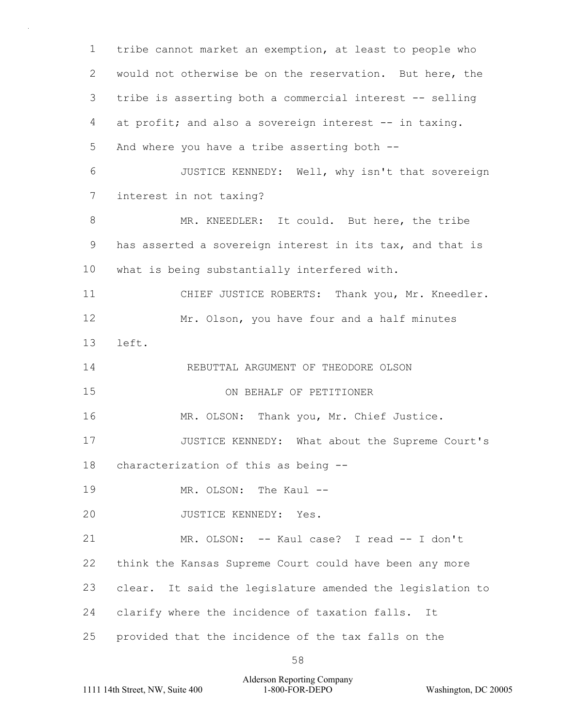1  $\mathcal{P}$ 3 4 5 6 7 8 9 10 11 12 13 14 15 16 17 18 19 20 21 22 23 24 25 tribe cannot market an exemption, at least to people who would not otherwise be on the reservation. But here, the tribe is asserting both a commercial interest -- selling at profit; and also a sovereign interest -- in taxing. And where you have a tribe asserting both -- JUSTICE KENNEDY: Well, why isn't that sovereign interest in not taxing? MR. KNEEDLER: It could. But here, the tribe has asserted a sovereign interest in its tax, and that is what is being substantially interfered with. CHIEF JUSTICE ROBERTS: Thank you, Mr. Kneedler. Mr. Olson, you have four and a half minutes left. REBUTTAL ARGUMENT OF THEODORE OLSON ON BEHALF OF PETITIONER MR. OLSON: Thank you, Mr. Chief Justice. JUSTICE KENNEDY: What about the Supreme Court's characterization of this as being -- MR. OLSON: The Kaul --JUSTICE KENNEDY: Yes. MR. OLSON: -- Kaul case? I read -- I don't think the Kansas Supreme Court could have been any more clear. It said the legislature amended the legislation to clarify where the incidence of taxation falls. It provided that the incidence of the tax falls on the

Alderson Reporting Company 1111 14th Street, NW, Suite 400 1-800-FOR-DEPO Washington, DC 20005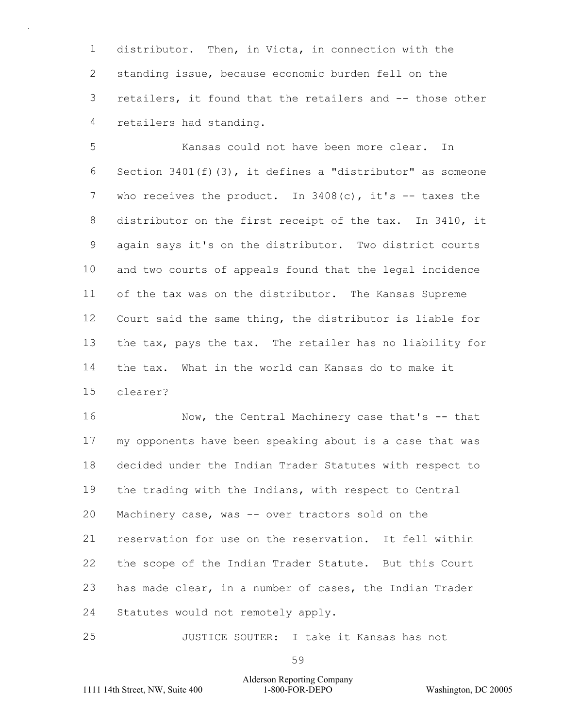1  $\mathcal{P}$ 3 4 distributor. Then, in Victa, in connection with the standing issue, because economic burden fell on the retailers, it found that the retailers and -- those other retailers had standing.

5 6 7 8 9 10 11 12 13 14 15 Kansas could not have been more clear. In Section 3401(f)(3), it defines a "distributor" as someone who receives the product. In  $3408(c)$ , it's  $-$  taxes the distributor on the first receipt of the tax. In 3410, it again says it's on the distributor. Two district courts and two courts of appeals found that the legal incidence of the tax was on the distributor. The Kansas Supreme Court said the same thing, the distributor is liable for the tax, pays the tax. The retailer has no liability for the tax. What in the world can Kansas do to make it clearer?

16 17 18 19 20 21 22 23 24 Now, the Central Machinery case that's -- that my opponents have been speaking about is a case that was decided under the Indian Trader Statutes with respect to the trading with the Indians, with respect to Central Machinery case, was -- over tractors sold on the reservation for use on the reservation. It fell within the scope of the Indian Trader Statute. But this Court has made clear, in a number of cases, the Indian Trader Statutes would not remotely apply.

25 JUSTICE SOUTER: I take it Kansas has not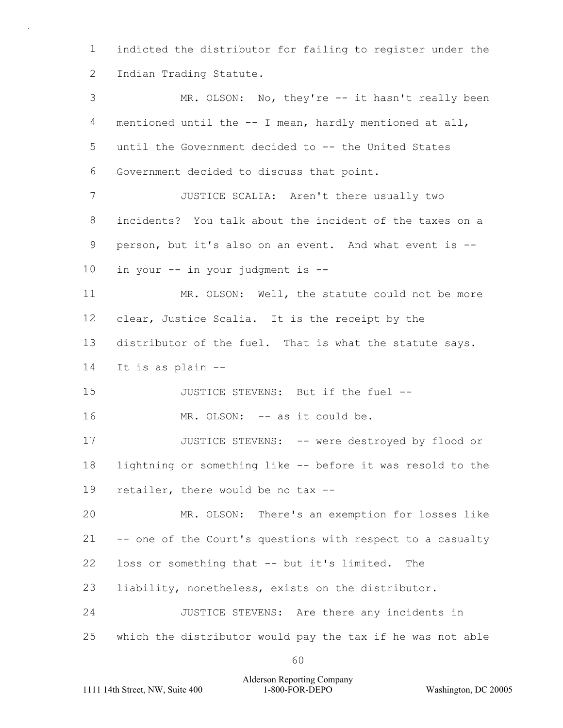1  $\mathcal{P}$ indicted the distributor for failing to register under the Indian Trading Statute.

3 4 5 6 7 8 9 10 11 12 13 14 15 16 17 18 19 20 21 22 23 24 25 MR. OLSON: No, they're -- it hasn't really been mentioned until the -- I mean, hardly mentioned at all, until the Government decided to -- the United States Government decided to discuss that point. JUSTICE SCALIA: Aren't there usually two incidents? You talk about the incident of the taxes on a person, but it's also on an event. And what event is - in your -- in your judgment is -- MR. OLSON: Well, the statute could not be more clear, Justice Scalia. It is the receipt by the distributor of the fuel. That is what the statute says. It is as plain -- JUSTICE STEVENS: But if the fuel -- MR. OLSON: -- as it could be. JUSTICE STEVENS: -- were destroyed by flood or lightning or something like -- before it was resold to the retailer, there would be no tax -- MR. OLSON: There's an exemption for losses like -- one of the Court's questions with respect to a casualty loss or something that -- but it's limited. The liability, nonetheless, exists on the distributor. JUSTICE STEVENS: Are there any incidents in which the distributor would pay the tax if he was not able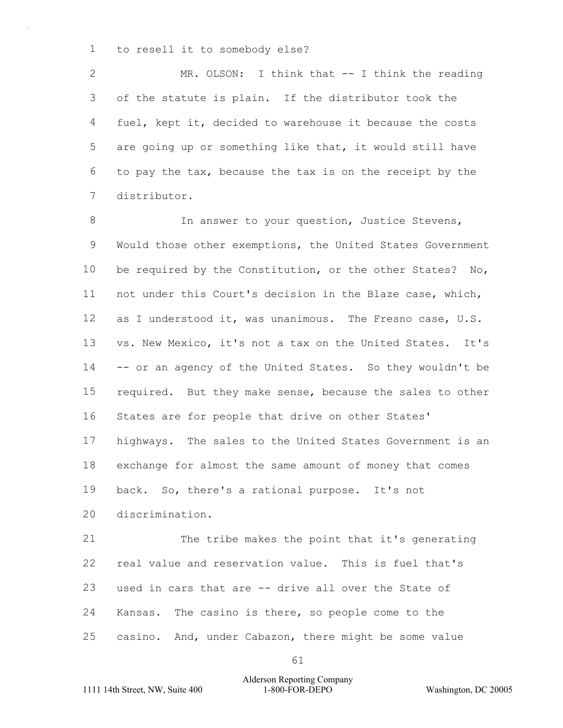1 to resell it to somebody else?

 $\mathcal{P}$ 3 4 5 6 7 MR. OLSON: I think that -- I think the reading of the statute is plain. If the distributor took the fuel, kept it, decided to warehouse it because the costs are going up or something like that, it would still have to pay the tax, because the tax is on the receipt by the distributor.

8 9 10 11 12 13 14 15 16 17 18 19 In answer to your question, Justice Stevens, Would those other exemptions, the United States Government be required by the Constitution, or the other States? No, not under this Court's decision in the Blaze case, which, as I understood it, was unanimous. The Fresno case, U.S. vs. New Mexico, it's not a tax on the United States. It's -- or an agency of the United States. So they wouldn't be required. But they make sense, because the sales to other States are for people that drive on other States' highways. The sales to the United States Government is an exchange for almost the same amount of money that comes back. So, there's a rational purpose. It's not

20 discrimination.

21 22 23 24 25 The tribe makes the point that it's generating real value and reservation value. This is fuel that's used in cars that are -- drive all over the State of Kansas. The casino is there, so people come to the casino. And, under Cabazon, there might be some value